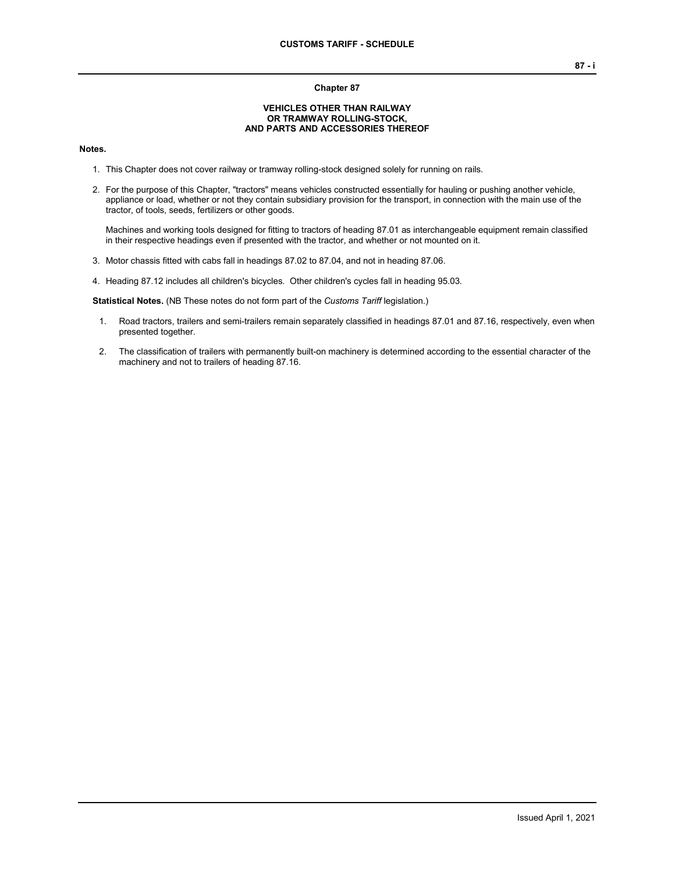#### **Chapter 87**

#### **VEHICLES OTHER THAN RAILWAY OR TRAMWAY ROLLING-STOCK, AND PARTS AND ACCESSORIES THEREOF**

#### **Notes.**

- 1. This Chapter does not cover railway or tramway rolling-stock designed solely for running on rails.
- 2. For the purpose of this Chapter, "tractors" means vehicles constructed essentially for hauling or pushing another vehicle, appliance or load, whether or not they contain subsidiary provision for the transport, in connection with the main use of the tractor, of tools, seeds, fertilizers or other goods.

Machines and working tools designed for fitting to tractors of heading 87.01 as interchangeable equipment remain classified in their respective headings even if presented with the tractor, and whether or not mounted on it.

- 3. Motor chassis fitted with cabs fall in headings 87.02 to 87.04, and not in heading 87.06.
- 4. Heading 87.12 includes all children's bicycles. Other children's cycles fall in heading 95.03.

**Statistical Notes.** (NB These notes do not form part of the *Customs Tariff* legislation.)

- 1. Road tractors, trailers and semi-trailers remain separately classified in headings 87.01 and 87.16, respectively, even when presented together.
- 2. The classification of trailers with permanently built-on machinery is determined according to the essential character of the machinery and not to trailers of heading 87.16.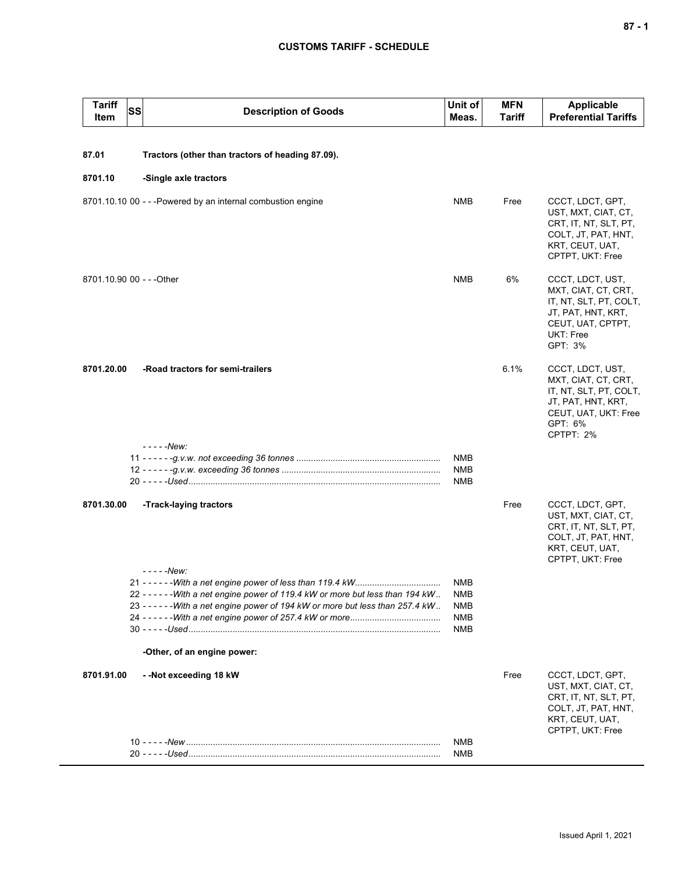| <b>Tariff</b><br>Item | SS<br><b>Description of Goods</b>                                                                                                                                                                 | Unit of<br>Meas.                                     | <b>MFN</b><br>Tariff | <b>Applicable</b><br><b>Preferential Tariffs</b>                                                                                        |
|-----------------------|---------------------------------------------------------------------------------------------------------------------------------------------------------------------------------------------------|------------------------------------------------------|----------------------|-----------------------------------------------------------------------------------------------------------------------------------------|
|                       |                                                                                                                                                                                                   |                                                      |                      |                                                                                                                                         |
| 87.01                 | Tractors (other than tractors of heading 87.09).                                                                                                                                                  |                                                      |                      |                                                                                                                                         |
| 8701.10               | -Single axle tractors                                                                                                                                                                             |                                                      |                      |                                                                                                                                         |
|                       | 8701.10.10 00 - - - Powered by an internal combustion engine                                                                                                                                      | <b>NMB</b>                                           | Free                 | CCCT, LDCT, GPT,<br>UST, MXT, CIAT, CT,<br>CRT, IT, NT, SLT, PT,<br>COLT, JT, PAT, HNT,<br>KRT, CEUT, UAT,<br>CPTPT, UKT: Free          |
|                       | 8701.10.90 00 - - - Other                                                                                                                                                                         | <b>NMB</b>                                           | 6%                   | CCCT, LDCT, UST,<br>MXT, CIAT, CT, CRT,<br>IT, NT, SLT, PT, COLT,<br>JT, PAT, HNT, KRT,<br>CEUT, UAT, CPTPT,<br>UKT: Free<br>GPT: 3%    |
| 8701.20.00            | -Road tractors for semi-trailers<br>- - - - - New:                                                                                                                                                |                                                      | 6.1%                 | CCCT, LDCT, UST,<br>MXT, CIAT, CT, CRT,<br>IT, NT, SLT, PT, COLT,<br>JT, PAT, HNT, KRT,<br>CEUT, UAT, UKT: Free<br>GPT: 6%<br>CPTPT: 2% |
|                       |                                                                                                                                                                                                   | <b>NMB</b><br><b>NMB</b><br>NMB                      |                      |                                                                                                                                         |
| 8701.30.00            | -Track-laying tractors<br>- - - - -New:                                                                                                                                                           |                                                      | Free                 | CCCT, LDCT, GPT,<br>UST, MXT, CIAT, CT,<br>CRT, IT, NT, SLT, PT,<br>COLT, JT, PAT, HNT,<br>KRT, CEUT, UAT,<br>CPTPT, UKT: Free          |
|                       | 22 - - - - - - With a net engine power of 119.4 kW or more but less than 194 kW<br>23 - - - - - - With a net engine power of 194 kW or more but less than 257.4 kW<br>-Other, of an engine power: | NMB<br><b>NMB</b><br>NMB<br><b>NMB</b><br><b>NMB</b> |                      |                                                                                                                                         |
| 8701.91.00            | --Not exceeding 18 kW                                                                                                                                                                             | <b>NMB</b>                                           | Free                 | CCCT, LDCT, GPT,<br>UST, MXT, CIAT, CT,<br>CRT, IT, NT, SLT, PT,<br>COLT, JT, PAT, HNT,<br>KRT, CEUT, UAT,<br>CPTPT, UKT: Free          |
|                       |                                                                                                                                                                                                   | NMB                                                  |                      |                                                                                                                                         |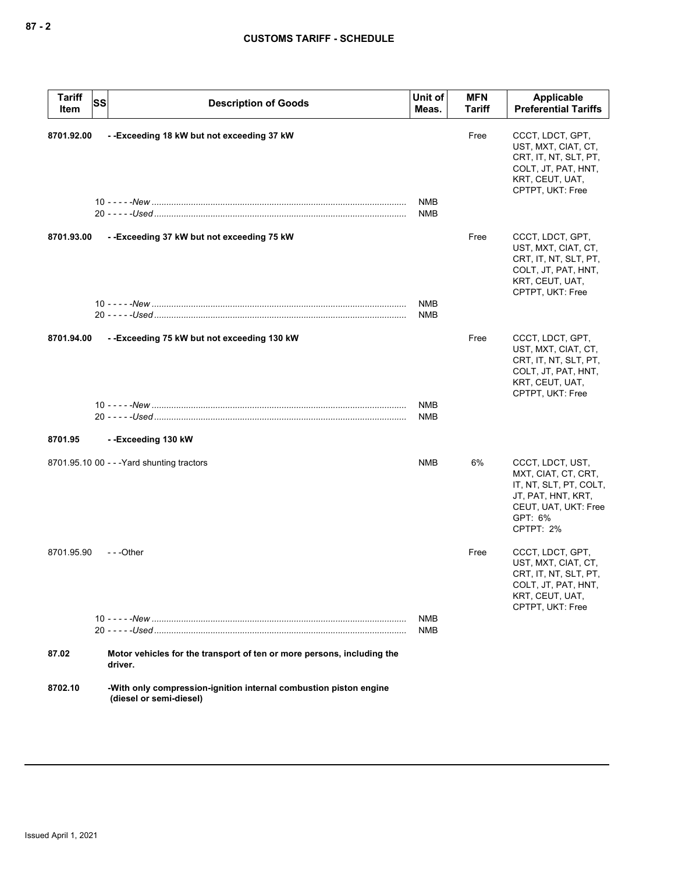| <b>Tariff</b><br>Item | <b>SS</b> | <b>Description of Goods</b>                                                                  | Unit of<br>Meas.         | <b>MFN</b><br>Tariff | Applicable<br><b>Preferential Tariffs</b>                                                                                               |
|-----------------------|-----------|----------------------------------------------------------------------------------------------|--------------------------|----------------------|-----------------------------------------------------------------------------------------------------------------------------------------|
| 8701.92.00            |           | --Exceeding 18 kW but not exceeding 37 kW                                                    | <b>NMB</b>               | Free                 | CCCT, LDCT, GPT,<br>UST, MXT, CIAT, CT,<br>CRT, IT, NT, SLT, PT,<br>COLT, JT, PAT, HNT,<br>KRT, CEUT, UAT,<br>CPTPT, UKT: Free          |
|                       |           |                                                                                              | <b>NMB</b>               |                      |                                                                                                                                         |
| 8701.93.00            |           | --Exceeding 37 kW but not exceeding 75 kW                                                    |                          | Free                 | CCCT, LDCT, GPT,<br>UST, MXT, CIAT, CT,<br>CRT, IT, NT, SLT, PT,<br>COLT, JT, PAT, HNT,<br>KRT, CEUT, UAT,<br>CPTPT, UKT: Free          |
|                       |           |                                                                                              | <b>NMB</b><br>NMB        |                      |                                                                                                                                         |
| 8701.94.00            |           | --Exceeding 75 kW but not exceeding 130 kW                                                   |                          | Free                 | CCCT, LDCT, GPT,<br>UST, MXT, CIAT, CT,<br>CRT, IT, NT, SLT, PT,<br>COLT, JT, PAT, HNT,<br>KRT, CEUT, UAT,<br>CPTPT, UKT: Free          |
|                       |           |                                                                                              | <b>NMB</b><br>NMB        |                      |                                                                                                                                         |
| 8701.95               |           | --Exceeding 130 kW                                                                           |                          |                      |                                                                                                                                         |
|                       |           | 8701.95.10 00 - - - Yard shunting tractors                                                   | <b>NMB</b>               | 6%                   | CCCT, LDCT, UST,<br>MXT, CIAT, CT, CRT,<br>IT, NT, SLT, PT, COLT,<br>JT, PAT, HNT, KRT,<br>CEUT, UAT, UKT: Free<br>GPT: 6%<br>CPTPT: 2% |
| 8701.95.90            |           | $- -$ Other                                                                                  |                          | Free                 | CCCT, LDCT, GPT,<br>UST, MXT, CIAT, CT,<br>CRT, IT, NT, SLT, PT,<br>COLT, JT, PAT, HNT,<br>KRT, CEUT, UAT,<br>CPTPT, UKT: Free          |
|                       |           |                                                                                              | <b>NMB</b><br><b>NMB</b> |                      |                                                                                                                                         |
| 87.02                 |           | Motor vehicles for the transport of ten or more persons, including the<br>driver.            |                          |                      |                                                                                                                                         |
| 8702.10               |           | -With only compression-ignition internal combustion piston engine<br>(diesel or semi-diesel) |                          |                      |                                                                                                                                         |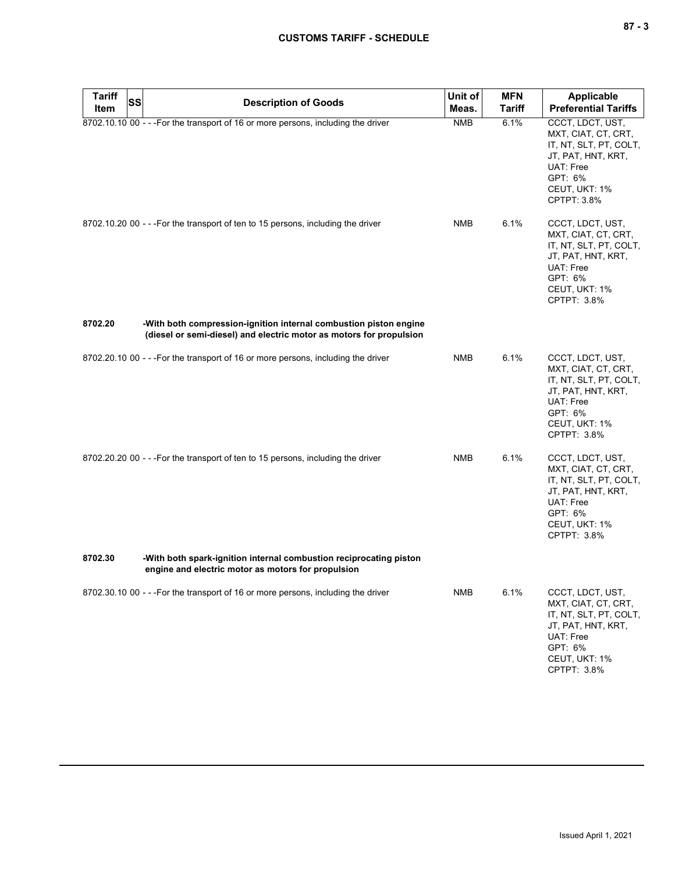| <b>Tariff</b><br><b>SS</b> | <b>Description of Goods</b>                                                                                                              | Unit of    | <b>MFN</b>    | Applicable                                                                                                                                      |
|----------------------------|------------------------------------------------------------------------------------------------------------------------------------------|------------|---------------|-------------------------------------------------------------------------------------------------------------------------------------------------|
| Item                       |                                                                                                                                          | Meas.      | <b>Tariff</b> | <b>Preferential Tariffs</b>                                                                                                                     |
|                            | 8702.10.10 00 - - - For the transport of 16 or more persons, including the driver                                                        | <b>NMB</b> | 6.1%          | CCCT, LDCT, UST,<br>MXT, CIAT, CT, CRT,<br>IT, NT, SLT, PT, COLT,<br>JT, PAT, HNT, KRT,<br>UAT: Free<br>GPT: 6%<br>CEUT, UKT: 1%<br>CPTPT: 3.8% |
|                            | 8702.10.20 00 - - - For the transport of ten to 15 persons, including the driver                                                         | <b>NMB</b> | 6.1%          | CCCT, LDCT, UST,<br>MXT, CIAT, CT, CRT,<br>IT, NT, SLT, PT, COLT,<br>JT, PAT, HNT, KRT,<br>UAT: Free<br>GPT: 6%<br>CEUT, UKT: 1%<br>CPTPT: 3.8% |
| 8702.20                    | -With both compression-ignition internal combustion piston engine<br>(diesel or semi-diesel) and electric motor as motors for propulsion |            |               |                                                                                                                                                 |
|                            | 8702.20.10 00 - - - For the transport of 16 or more persons, including the driver                                                        | <b>NMB</b> | 6.1%          | CCCT, LDCT, UST,<br>MXT, CIAT, CT, CRT,<br>IT, NT, SLT, PT, COLT,<br>JT, PAT, HNT, KRT,<br>UAT: Free<br>GPT: 6%<br>CEUT, UKT: 1%<br>CPTPT: 3.8% |
|                            | 8702.20.20 00 - - - For the transport of ten to 15 persons, including the driver                                                         | <b>NMB</b> | 6.1%          | CCCT, LDCT, UST,<br>MXT, CIAT, CT, CRT,<br>IT, NT, SLT, PT, COLT,<br>JT, PAT, HNT, KRT,<br>UAT: Free<br>GPT: 6%<br>CEUT, UKT: 1%<br>CPTPT: 3.8% |
| 8702.30                    | -With both spark-ignition internal combustion reciprocating piston<br>engine and electric motor as motors for propulsion                 |            |               |                                                                                                                                                 |
|                            | 8702.30.10 00 - - - For the transport of 16 or more persons, including the driver                                                        | <b>NMB</b> | 6.1%          | CCCT, LDCT, UST,<br>MXT, CIAT, CT, CRT,<br>IT, NT, SLT, PT, COLT,<br>JT, PAT, HNT, KRT,<br>UAT: Free<br>GPT: 6%<br>CEUT, UKT: 1%<br>CPTPT: 3.8% |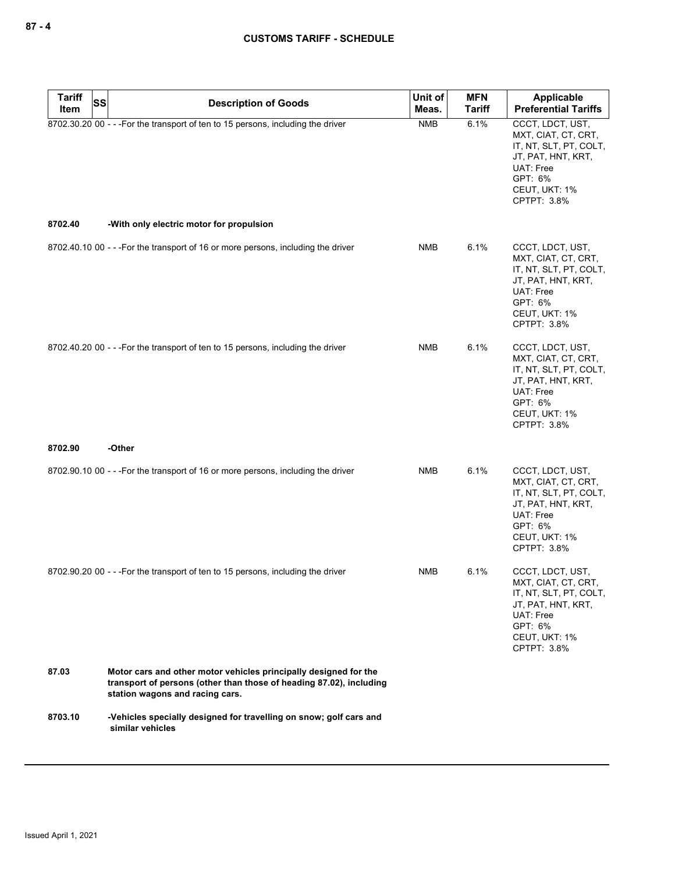| <b>Tariff</b><br>SS<br>Item | <b>Description of Goods</b>                                                                                                                                                | Unit of<br>Meas. | <b>MFN</b><br><b>Tariff</b> | Applicable<br><b>Preferential Tariffs</b>                                                                                                       |
|-----------------------------|----------------------------------------------------------------------------------------------------------------------------------------------------------------------------|------------------|-----------------------------|-------------------------------------------------------------------------------------------------------------------------------------------------|
|                             | 8702.30.20 00 - - - For the transport of ten to 15 persons, including the driver                                                                                           | <b>NMB</b>       | 6.1%                        | CCCT, LDCT, UST,<br>MXT, CIAT, CT, CRT,<br>IT, NT, SLT, PT, COLT,<br>JT, PAT, HNT, KRT,<br>UAT: Free<br>GPT: 6%<br>CEUT, UKT: 1%<br>CPTPT: 3.8% |
| 8702.40                     | -With only electric motor for propulsion                                                                                                                                   |                  |                             |                                                                                                                                                 |
|                             | 8702.40.10 00 - - - For the transport of 16 or more persons, including the driver                                                                                          | NMB              | 6.1%                        | CCCT, LDCT, UST,<br>MXT, CIAT, CT, CRT,<br>IT, NT, SLT, PT, COLT,<br>JT, PAT, HNT, KRT,<br>UAT: Free<br>GPT: 6%<br>CEUT, UKT: 1%<br>CPTPT: 3.8% |
|                             | 8702.40.20 00 - - - For the transport of ten to 15 persons, including the driver                                                                                           | NMB              | 6.1%                        | CCCT, LDCT, UST,<br>MXT, CIAT, CT, CRT,<br>IT, NT, SLT, PT, COLT,<br>JT, PAT, HNT, KRT,<br>UAT: Free<br>GPT: 6%<br>CEUT, UKT: 1%<br>CPTPT: 3.8% |
| 8702.90                     | -Other                                                                                                                                                                     |                  |                             |                                                                                                                                                 |
|                             | 8702.90.10 00 - - - For the transport of 16 or more persons, including the driver                                                                                          | <b>NMB</b>       | 6.1%                        | CCCT, LDCT, UST,<br>MXT, CIAT, CT, CRT,<br>IT, NT, SLT, PT, COLT,<br>JT, PAT, HNT, KRT,<br>UAT: Free<br>GPT: 6%<br>CEUT, UKT: 1%<br>CPTPT: 3.8% |
|                             | 8702.90.20 00 - - - For the transport of ten to 15 persons, including the driver                                                                                           | NMB              | 6.1%                        | CCCT, LDCT, UST,<br>MXT, CIAT, CT, CRT,<br>IT, NT, SLT, PT, COLT,<br>JT, PAT, HNT, KRT,<br>UAT: Free<br>GPT: 6%<br>CEUT, UKT: 1%<br>CPTPT: 3.8% |
| 87.03                       | Motor cars and other motor vehicles principally designed for the<br>transport of persons (other than those of heading 87.02), including<br>station wagons and racing cars. |                  |                             |                                                                                                                                                 |
| 8703.10                     | -Vehicles specially designed for travelling on snow; golf cars and<br>similar vehicles                                                                                     |                  |                             |                                                                                                                                                 |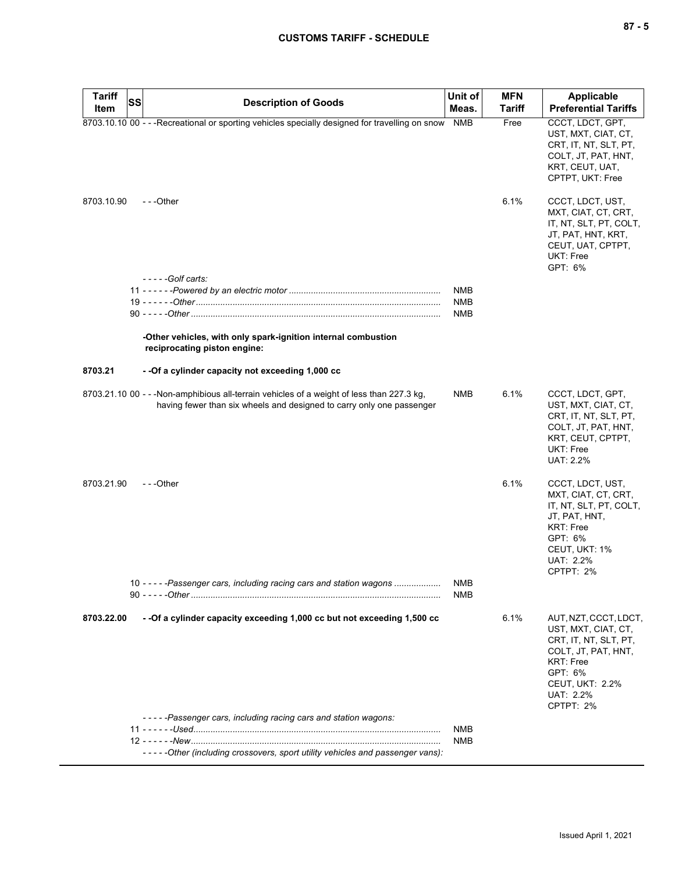| <b>Tariff</b> | SS<br><b>Description of Goods</b>                                                                                                                                   | Unit of           | <b>MFN</b>    | Applicable                                                                                                                                                                      |
|---------------|---------------------------------------------------------------------------------------------------------------------------------------------------------------------|-------------------|---------------|---------------------------------------------------------------------------------------------------------------------------------------------------------------------------------|
| Item          |                                                                                                                                                                     | Meas.             | <b>Tariff</b> | <b>Preferential Tariffs</b>                                                                                                                                                     |
|               | 8703.10.10 00 - - - Recreational or sporting vehicles specially designed for travelling on snow                                                                     | <b>NMB</b>        | Free          | CCCT, LDCT, GPT,<br>UST, MXT, CIAT, CT,<br>CRT, IT, NT, SLT, PT,<br>COLT, JT, PAT, HNT,<br>KRT, CEUT, UAT,<br>CPTPT, UKT: Free                                                  |
| 8703.10.90    | $- -$ Other                                                                                                                                                         |                   | 6.1%          | CCCT, LDCT, UST,<br>MXT, CIAT, CT, CRT,<br>IT, NT, SLT, PT, COLT,<br>JT, PAT, HNT, KRT,<br>CEUT, UAT, CPTPT,<br>UKT: Free<br>GPT: 6%                                            |
|               | $---G$ olf carts:                                                                                                                                                   |                   |               |                                                                                                                                                                                 |
|               |                                                                                                                                                                     | <b>NMB</b>        |               |                                                                                                                                                                                 |
|               |                                                                                                                                                                     | <b>NMB</b>        |               |                                                                                                                                                                                 |
|               |                                                                                                                                                                     | NMB               |               |                                                                                                                                                                                 |
|               | -Other vehicles, with only spark-ignition internal combustion<br>reciprocating piston engine:                                                                       |                   |               |                                                                                                                                                                                 |
| 8703.21       | - - Of a cylinder capacity not exceeding 1,000 cc                                                                                                                   |                   |               |                                                                                                                                                                                 |
|               | 8703.21.10 00 - - - Non-amphibious all-terrain vehicles of a weight of less than 227.3 kg.<br>having fewer than six wheels and designed to carry only one passenger | <b>NMB</b>        | 6.1%          | CCCT, LDCT, GPT,<br>UST, MXT, CIAT, CT,<br>CRT, IT, NT, SLT, PT,<br>COLT, JT, PAT, HNT,<br>KRT, CEUT, CPTPT,<br><b>UKT: Free</b><br>UAT: 2.2%                                   |
| 8703.21.90    | - - -Other                                                                                                                                                          |                   | 6.1%          | CCCT, LDCT, UST,<br>MXT, CIAT, CT, CRT,<br>IT, NT, SLT, PT, COLT,<br>JT, PAT, HNT,<br>KRT: Free<br>GPT: 6%<br>CEUT, UKT: 1%<br>UAT: 2.2%<br>CPTPT: 2%                           |
|               | 10 - - - - - Passenger cars, including racing cars and station wagons                                                                                               | <b>NMB</b><br>NMB |               |                                                                                                                                                                                 |
|               |                                                                                                                                                                     |                   |               |                                                                                                                                                                                 |
| 8703.22.00    | - - Of a cylinder capacity exceeding 1,000 cc but not exceeding 1,500 cc<br>-----Passenger cars, including racing cars and station wagons:                          |                   | 6.1%          | AUT, NZT, CCCT, LDCT,<br>UST, MXT, CIAT, CT,<br>CRT, IT, NT, SLT, PT,<br>COLT, JT, PAT, HNT,<br><b>KRT: Free</b><br>GPT: 6%<br><b>CEUT, UKT: 2.2%</b><br>UAT: 2.2%<br>CPTPT: 2% |
|               |                                                                                                                                                                     | <b>NMB</b>        |               |                                                                                                                                                                                 |
|               |                                                                                                                                                                     | <b>NMB</b>        |               |                                                                                                                                                                                 |
|               | -----Other (including crossovers, sport utility vehicles and passenger vans):                                                                                       |                   |               |                                                                                                                                                                                 |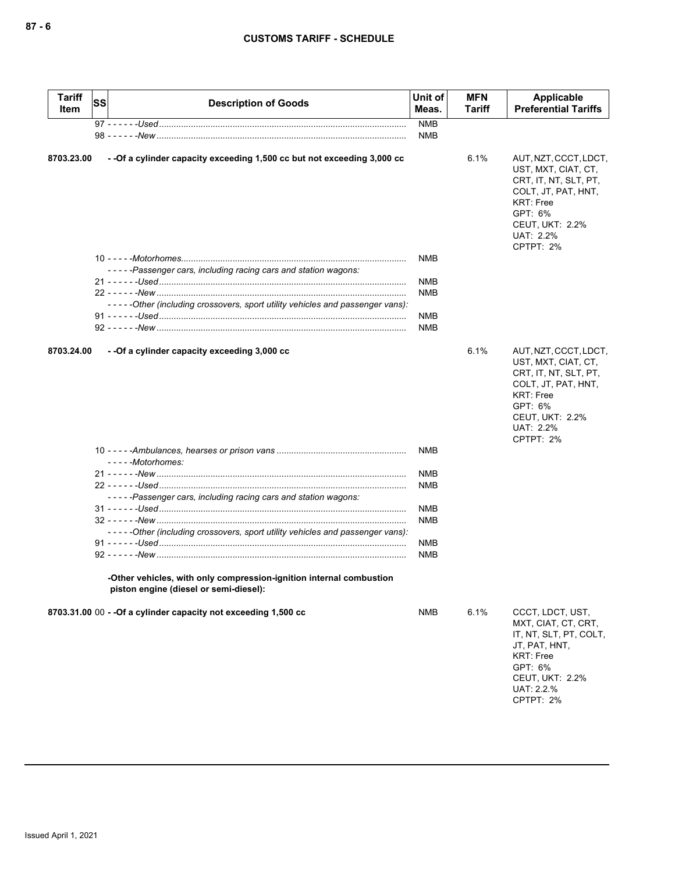| <b>Tariff</b><br>Item | <b>SS</b> | <b>Description of Goods</b>                                                                                   | Unit of<br>Meas. | <b>MFN</b><br>Tariff | Applicable<br><b>Preferential Tariffs</b>                                                                                                                                |
|-----------------------|-----------|---------------------------------------------------------------------------------------------------------------|------------------|----------------------|--------------------------------------------------------------------------------------------------------------------------------------------------------------------------|
|                       |           |                                                                                                               | <b>NMB</b>       |                      |                                                                                                                                                                          |
|                       |           |                                                                                                               | <b>NMB</b>       |                      |                                                                                                                                                                          |
| 8703.23.00            |           | - - Of a cylinder capacity exceeding 1,500 cc but not exceeding 3,000 cc                                      |                  | 6.1%                 | AUT, NZT, CCCT, LDCT,<br>UST, MXT, CIAT, CT,<br>CRT, IT, NT, SLT, PT,<br>COLT, JT, PAT, HNT,<br><b>KRT: Free</b><br>GPT: 6%<br>CEUT, UKT: 2.2%<br>UAT: 2.2%<br>CPTPT: 2% |
|                       |           |                                                                                                               | <b>NMB</b>       |                      |                                                                                                                                                                          |
|                       |           | -----Passenger cars, including racing cars and station wagons:                                                |                  |                      |                                                                                                                                                                          |
|                       |           |                                                                                                               | <b>NMB</b>       |                      |                                                                                                                                                                          |
|                       |           |                                                                                                               | <b>NMB</b>       |                      |                                                                                                                                                                          |
|                       |           | -----Other (including crossovers, sport utility vehicles and passenger vans):                                 |                  |                      |                                                                                                                                                                          |
|                       |           |                                                                                                               | <b>NMB</b>       |                      |                                                                                                                                                                          |
|                       |           |                                                                                                               | <b>NMB</b>       |                      |                                                                                                                                                                          |
| 8703.24.00            |           | - - Of a cylinder capacity exceeding 3,000 cc                                                                 |                  | 6.1%                 | AUT, NZT, CCCT, LDCT,<br>UST, MXT, CIAT, CT,<br>CRT, IT, NT, SLT, PT,<br>COLT, JT, PAT, HNT,<br><b>KRT: Free</b><br>GPT: 6%<br>CEUT, UKT: 2.2%<br>UAT: 2.2%<br>CPTPT: 2% |
|                       |           | $---Motorhomes:$                                                                                              | <b>NMB</b>       |                      |                                                                                                                                                                          |
|                       |           |                                                                                                               | <b>NMB</b>       |                      |                                                                                                                                                                          |
|                       |           |                                                                                                               | <b>NMB</b>       |                      |                                                                                                                                                                          |
|                       |           | -----Passenger cars, including racing cars and station wagons:                                                |                  |                      |                                                                                                                                                                          |
|                       |           |                                                                                                               | <b>NMB</b>       |                      |                                                                                                                                                                          |
|                       |           |                                                                                                               | <b>NMB</b>       |                      |                                                                                                                                                                          |
|                       |           | -----Other (including crossovers, sport utility vehicles and passenger vans):                                 |                  |                      |                                                                                                                                                                          |
|                       |           |                                                                                                               | <b>NMB</b>       |                      |                                                                                                                                                                          |
|                       |           |                                                                                                               | <b>NMB</b>       |                      |                                                                                                                                                                          |
|                       |           | -Other vehicles, with only compression-ignition internal combustion<br>piston engine (diesel or semi-diesel): |                  |                      |                                                                                                                                                                          |
|                       |           | 8703.31.00 00 - - Of a cylinder capacity not exceeding 1,500 cc                                               | <b>NMB</b>       | 6.1%                 | CCCT, LDCT, UST,<br>MXT, CIAT, CT, CRT,<br>IT, NT, SLT, PT, COLT,<br>JT, PAT, HNT,<br><b>KRT: Free</b><br>GPT: 6%<br><b>CEUT, UKT: 2.2%</b><br>UAT: 2.2.%<br>CPTPT: 2%   |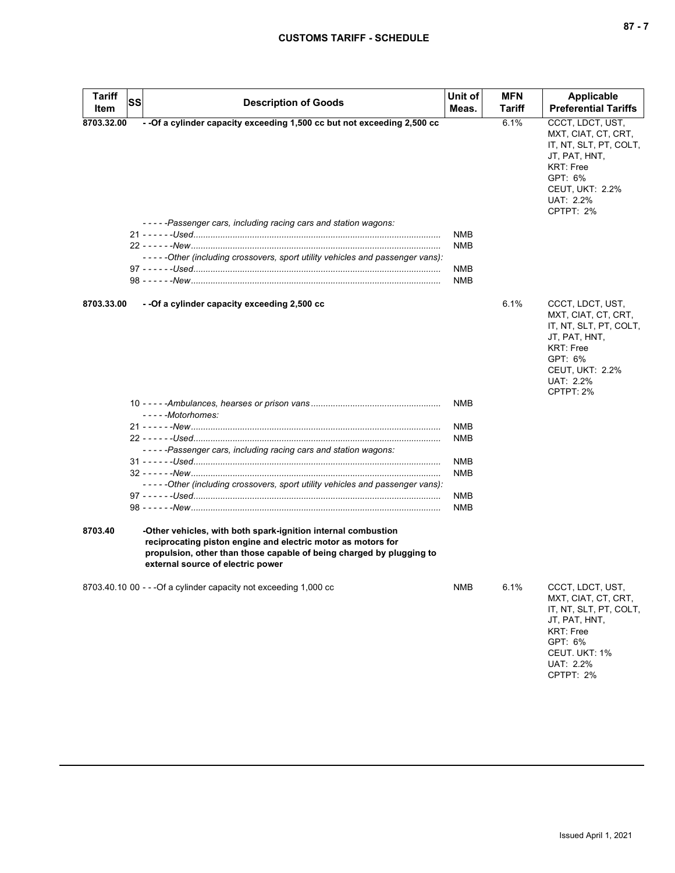| <b>Tariff</b><br>Item | <b>SS</b> | <b>Description of Goods</b>                                                                                                                                                                                                                | Unit of<br>Meas.                                     | <b>MFN</b><br>Tariff | <b>Applicable</b><br><b>Preferential Tariffs</b>                                                                                                                      |
|-----------------------|-----------|--------------------------------------------------------------------------------------------------------------------------------------------------------------------------------------------------------------------------------------------|------------------------------------------------------|----------------------|-----------------------------------------------------------------------------------------------------------------------------------------------------------------------|
| 8703.32.00            |           | - - Of a cylinder capacity exceeding 1,500 cc but not exceeding 2,500 cc<br>-----Passenger cars, including racing cars and station wagons:<br>- - - - - Other (including crossovers, sport utility vehicles and passenger vans):           | <b>NMB</b><br><b>NMB</b><br><b>NMB</b><br><b>NMB</b> | 6.1%                 | CCCT, LDCT, UST,<br>MXT, CIAT, CT, CRT,<br>IT, NT, SLT, PT, COLT,<br>JT, PAT, HNT,<br><b>KRT: Free</b><br>GPT: 6%<br>CEUT, UKT: 2.2%<br>UAT: 2.2%<br>CPTPT: 2%        |
| 8703.33.00            |           | - - Of a cylinder capacity exceeding 2,500 cc<br>- - - - - Motorhomes:<br>-----Passenger cars, including racing cars and station wagons:                                                                                                   | NMB<br><b>NMB</b><br><b>NMB</b><br>NMB               | 6.1%                 | CCCT, LDCT, UST,<br>MXT, CIAT, CT, CRT,<br>IT, NT, SLT, PT, COLT,<br>JT, PAT, HNT,<br><b>KRT: Free</b><br>GPT: 6%<br><b>CEUT, UKT: 2.2%</b><br>UAT: 2.2%<br>CPTPT: 2% |
|                       |           | -----Other (including crossovers, sport utility vehicles and passenger vans):                                                                                                                                                              | <b>NMB</b><br>NMB<br><b>NMB</b>                      |                      |                                                                                                                                                                       |
| 8703.40               |           | -Other vehicles, with both spark-ignition internal combustion<br>reciprocating piston engine and electric motor as motors for<br>propulsion, other than those capable of being charged by plugging to<br>external source of electric power |                                                      |                      |                                                                                                                                                                       |
|                       |           | 8703.40.10 00 - - - Of a cylinder capacity not exceeding 1,000 cc                                                                                                                                                                          | <b>NMB</b>                                           | 6.1%                 | CCCT, LDCT, UST,<br>MXT, CIAT, CT, CRT,<br>IT, NT, SLT, PT, COLT,<br>JT, PAT, HNT,<br><b>KRT: Free</b><br>GPT: 6%<br>CEUT. UKT: 1%<br>UAT: 2.2%<br>CPTPT: 2%          |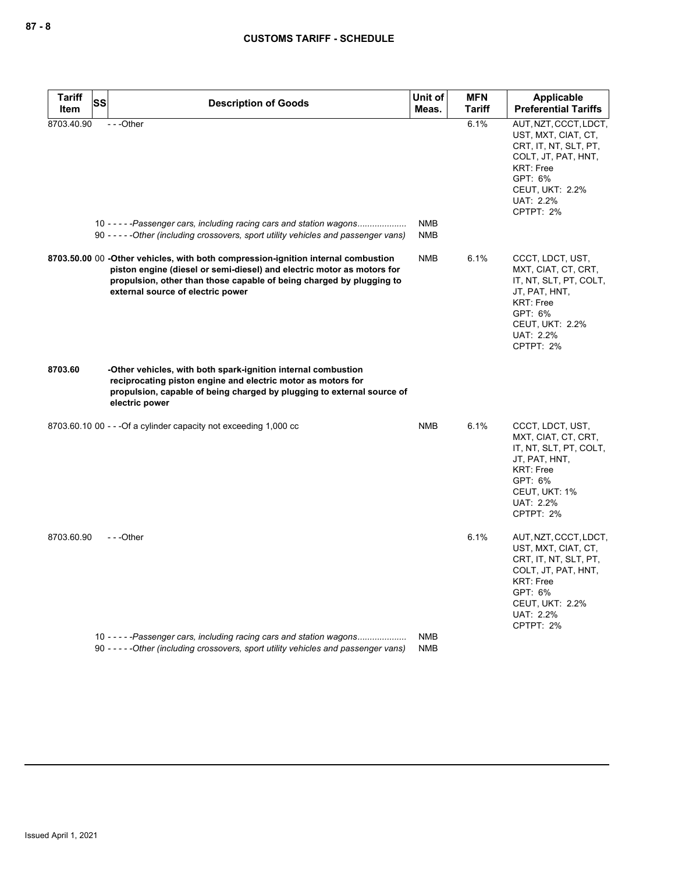| Tariff<br>Item | <b>SS</b> | <b>Description of Goods</b>                                                                                                                                                                                                                                              | Unit of<br>Meas. | <b>MFN</b><br><b>Tariff</b> | <b>Applicable</b><br><b>Preferential Tariffs</b>                                                                                                                                |
|----------------|-----------|--------------------------------------------------------------------------------------------------------------------------------------------------------------------------------------------------------------------------------------------------------------------------|------------------|-----------------------------|---------------------------------------------------------------------------------------------------------------------------------------------------------------------------------|
| 8703.40.90     |           | ---Other<br>10 - - - - - Passenger cars, including racing cars and station wagons                                                                                                                                                                                        | <b>NMB</b>       | 6.1%                        | AUT, NZT, CCCT, LDCT,<br>UST, MXT, CIAT, CT,<br>CRT, IT, NT, SLT, PT,<br>COLT, JT, PAT, HNT,<br><b>KRT: Free</b><br>GPT: 6%<br><b>CEUT, UKT: 2.2%</b><br>UAT: 2.2%<br>CPTPT: 2% |
|                |           | 90 ----- Other (including crossovers, sport utility vehicles and passenger vans)                                                                                                                                                                                         | <b>NMB</b>       |                             |                                                                                                                                                                                 |
|                |           | 8703.50.00 00 -Other vehicles, with both compression-ignition internal combustion<br>piston engine (diesel or semi-diesel) and electric motor as motors for<br>propulsion, other than those capable of being charged by plugging to<br>external source of electric power | <b>NMB</b>       | 6.1%                        | CCCT, LDCT, UST,<br>MXT, CIAT, CT, CRT,<br>IT, NT, SLT, PT, COLT,<br>JT, PAT, HNT,<br><b>KRT: Free</b><br>GPT: 6%<br><b>CEUT, UKT: 2.2%</b><br>UAT: 2.2%<br>CPTPT: 2%           |
| 8703.60        |           | -Other vehicles, with both spark-ignition internal combustion<br>reciprocating piston engine and electric motor as motors for<br>propulsion, capable of being charged by plugging to external source of<br>electric power                                                |                  |                             |                                                                                                                                                                                 |
|                |           | 8703.60.10 00 - - - Of a cylinder capacity not exceeding 1,000 cc                                                                                                                                                                                                        | <b>NMB</b>       | 6.1%                        | CCCT, LDCT, UST,<br>MXT, CIAT, CT, CRT,<br>IT, NT, SLT, PT, COLT,<br>JT, PAT, HNT,<br><b>KRT: Free</b><br>GPT: 6%<br>CEUT, UKT: 1%<br>UAT: 2.2%<br>CPTPT: 2%                    |
| 8703.60.90     |           | $- -$ Other                                                                                                                                                                                                                                                              |                  | 6.1%                        | AUT, NZT, CCCT, LDCT,<br>UST, MXT, CIAT, CT,<br>CRT, IT, NT, SLT, PT,<br>COLT, JT, PAT, HNT,<br><b>KRT: Free</b><br>GPT: 6%<br><b>CEUT, UKT: 2.2%</b><br>UAT: 2.2%<br>CPTPT: 2% |
|                |           | 10 - - - - - Passenger cars, including racing cars and station wagons                                                                                                                                                                                                    | <b>NMB</b>       |                             |                                                                                                                                                                                 |
|                |           | 90 -----Other (including crossovers, sport utility vehicles and passenger vans)                                                                                                                                                                                          | <b>NMB</b>       |                             |                                                                                                                                                                                 |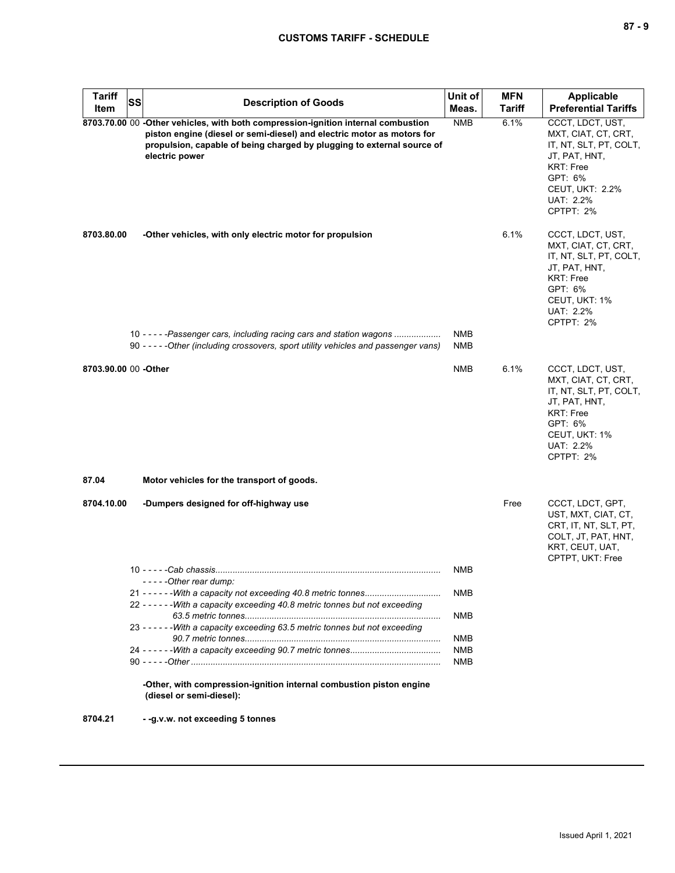| <b>Tariff</b>        | <b>SS</b> | <b>Description of Goods</b>                                                                                                                                                                                                                             | Unit of                  | <b>MFN</b>    | Applicable                                                                                                                                                            |
|----------------------|-----------|---------------------------------------------------------------------------------------------------------------------------------------------------------------------------------------------------------------------------------------------------------|--------------------------|---------------|-----------------------------------------------------------------------------------------------------------------------------------------------------------------------|
| Item                 |           |                                                                                                                                                                                                                                                         | Meas.                    | <b>Tariff</b> | <b>Preferential Tariffs</b>                                                                                                                                           |
|                      |           | 8703.70.00 00 -Other vehicles, with both compression-ignition internal combustion<br>piston engine (diesel or semi-diesel) and electric motor as motors for<br>propulsion, capable of being charged by plugging to external source of<br>electric power | <b>NMB</b>               | 6.1%          | CCCT, LDCT, UST,<br>MXT, CIAT, CT, CRT,<br>IT, NT, SLT, PT, COLT,<br>JT, PAT, HNT,<br><b>KRT: Free</b><br>GPT: 6%<br><b>CEUT, UKT: 2.2%</b><br>UAT: 2.2%<br>CPTPT: 2% |
| 8703.80.00           |           | -Other vehicles, with only electric motor for propulsion                                                                                                                                                                                                |                          | 6.1%          | CCCT, LDCT, UST,<br>MXT, CIAT, CT, CRT,<br>IT, NT, SLT, PT, COLT,<br>JT, PAT, HNT,<br>KRT: Free<br>GPT: 6%<br>CEUT, UKT: 1%<br>UAT: 2.2%<br>CPTPT: 2%                 |
|                      |           | 10 - - - - - Passenger cars, including racing cars and station wagons<br>90 - - - - - Other (including crossovers, sport utility vehicles and passenger vans)                                                                                           | <b>NMB</b><br><b>NMB</b> |               |                                                                                                                                                                       |
| 8703.90.00 00 -Other |           |                                                                                                                                                                                                                                                         | <b>NMB</b>               | 6.1%          | CCCT, LDCT, UST,<br>MXT, CIAT, CT, CRT,<br>IT, NT, SLT, PT, COLT,<br>JT, PAT, HNT,<br><b>KRT: Free</b><br>GPT: 6%<br>CEUT, UKT: 1%<br>UAT: 2.2%<br>CPTPT: 2%          |
| 87.04                |           | Motor vehicles for the transport of goods.                                                                                                                                                                                                              |                          |               |                                                                                                                                                                       |
| 8704.10.00           |           | -Dumpers designed for off-highway use                                                                                                                                                                                                                   |                          | Free          | CCCT, LDCT, GPT,<br>UST, MXT, CIAT, CT,<br>CRT, IT, NT, SLT, PT,<br>COLT, JT, PAT, HNT,<br>KRT, CEUT, UAT,<br>CPTPT, UKT: Free                                        |
|                      |           | -----Other rear dump:                                                                                                                                                                                                                                   | <b>NMB</b>               |               |                                                                                                                                                                       |
|                      |           |                                                                                                                                                                                                                                                         | NMB                      |               |                                                                                                                                                                       |
|                      |           | 22 - - - - - - With a capacity exceeding 40.8 metric tonnes but not exceeding                                                                                                                                                                           |                          |               |                                                                                                                                                                       |
|                      |           | 23 - - - - - - With a capacity exceeding 63.5 metric tonnes but not exceeding                                                                                                                                                                           | NMB                      |               |                                                                                                                                                                       |
|                      |           |                                                                                                                                                                                                                                                         | NMB                      |               |                                                                                                                                                                       |
|                      |           |                                                                                                                                                                                                                                                         | <b>NMB</b><br>NMB        |               |                                                                                                                                                                       |
|                      |           | -Other, with compression-ignition internal combustion piston engine<br>(diesel or semi-diesel):                                                                                                                                                         |                          |               |                                                                                                                                                                       |
| 8704.21              |           | --g.v.w. not exceeding 5 tonnes                                                                                                                                                                                                                         |                          |               |                                                                                                                                                                       |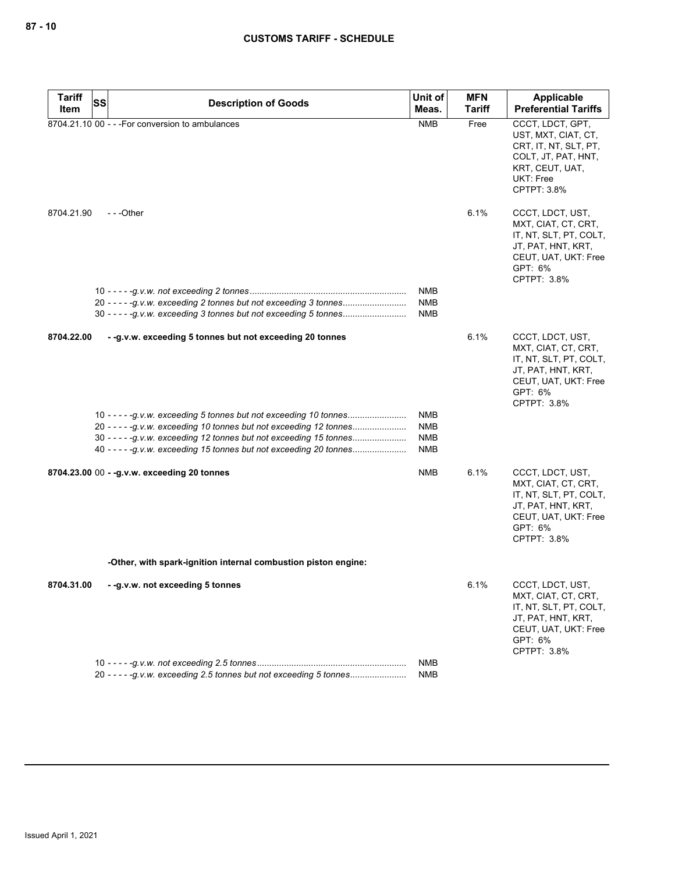| Tariff     | SS<br><b>Description of Goods</b>                                   | Unit of                  | <b>MFN</b>    | Applicable                                                                                                                                |
|------------|---------------------------------------------------------------------|--------------------------|---------------|-------------------------------------------------------------------------------------------------------------------------------------------|
| Item       |                                                                     | Meas.                    | <b>Tariff</b> | <b>Preferential Tariffs</b>                                                                                                               |
|            | 8704.21.10 00 - - - For conversion to ambulances                    | <b>NMB</b>               | Free          | CCCT, LDCT, GPT,<br>UST, MXT, CIAT, CT,<br>CRT, IT, NT, SLT, PT,<br>COLT, JT, PAT, HNT,<br>KRT, CEUT, UAT,<br>UKT: Free<br>CPTPT: 3.8%    |
| 8704.21.90 | ---Other                                                            |                          | 6.1%          | CCCT, LDCT, UST,<br>MXT, CIAT, CT, CRT,<br>IT, NT, SLT, PT, COLT,<br>JT, PAT, HNT, KRT,<br>CEUT, UAT, UKT: Free<br>GPT: 6%<br>CPTPT: 3.8% |
|            |                                                                     | NMB<br>NMB<br>NMB        |               |                                                                                                                                           |
|            |                                                                     |                          |               |                                                                                                                                           |
| 8704.22.00 | - -g.v.w. exceeding 5 tonnes but not exceeding 20 tonnes            |                          | 6.1%          | CCCT, LDCT, UST,<br>MXT, CIAT, CT, CRT,<br>IT, NT, SLT, PT, COLT,<br>JT, PAT, HNT, KRT,<br>CEUT, UAT, UKT: Free<br>GPT: 6%<br>CPTPT: 3.8% |
|            |                                                                     | NMB                      |               |                                                                                                                                           |
|            | 20 - - - - - g.v.w. exceeding 10 tonnes but not exceeding 12 tonnes | <b>NMB</b><br><b>NMB</b> |               |                                                                                                                                           |
|            | 40 - - - - -g.v.w. exceeding 15 tonnes but not exceeding 20 tonnes  | NMB                      |               |                                                                                                                                           |
|            | 8704.23.00 00 - - g.v.w. exceeding 20 tonnes                        | NMB                      | 6.1%          | CCCT, LDCT, UST,<br>MXT, CIAT, CT, CRT,<br>IT, NT, SLT, PT, COLT,<br>JT, PAT, HNT, KRT,<br>CEUT, UAT, UKT: Free<br>GPT: 6%<br>CPTPT: 3.8% |
|            | -Other, with spark-ignition internal combustion piston engine:      |                          |               |                                                                                                                                           |
|            | 8704.31.00 --g.v.w. not exceeding 5 tonnes                          |                          | 6.1%          | CCCT, LDCT, UST,<br>MXT, CIAT, CT, CRT,<br>IT, NT, SLT, PT, COLT,<br>JT, PAT, HNT, KRT,<br>CEUT, UAT, UKT: Free<br>GPT: 6%<br>CPTPT: 3.8% |
|            |                                                                     | NMB                      |               |                                                                                                                                           |
|            | 20 - - - - - g.v.w. exceeding 2.5 tonnes but not exceeding 5 tonnes | <b>NMB</b>               |               |                                                                                                                                           |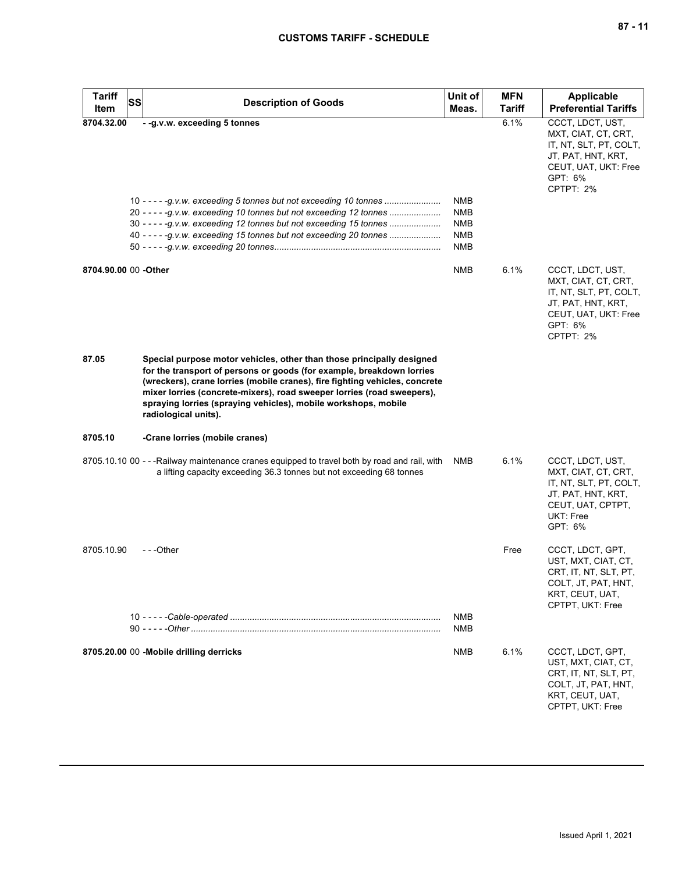| Tariff<br>SS<br>Item  | <b>Description of Goods</b>                                                                                                                                                                                                                                                                                                                                                                       | Unit of<br>Meas.                                                   | <b>MFN</b><br><b>Tariff</b> | Applicable<br><b>Preferential Tariffs</b>                                                                                               |
|-----------------------|---------------------------------------------------------------------------------------------------------------------------------------------------------------------------------------------------------------------------------------------------------------------------------------------------------------------------------------------------------------------------------------------------|--------------------------------------------------------------------|-----------------------------|-----------------------------------------------------------------------------------------------------------------------------------------|
| 8704.32.00            | - - g.v.w. exceeding 5 tonnes<br>10 - - - - -g.v.w. exceeding 5 tonnes but not exceeding 10 tonnes<br>20 - - - - - g.v.w. exceeding 10 tonnes but not exceeding 12 tonnes<br>30 - - - - - g.v.w. exceeding 12 tonnes but not exceeding 15 tonnes<br>40 - - - - -g.v.w. exceeding 15 tonnes but not exceeding 20 tonnes                                                                            | <b>NMB</b><br><b>NMB</b><br><b>NMB</b><br><b>NMB</b><br><b>NMB</b> | 6.1%                        | CCCT, LDCT, UST,<br>MXT, CIAT, CT, CRT,<br>IT, NT, SLT, PT, COLT,<br>JT, PAT, HNT, KRT,<br>CEUT, UAT, UKT: Free<br>GPT: 6%<br>CPTPT: 2% |
| 8704.90.00 00 - Other |                                                                                                                                                                                                                                                                                                                                                                                                   | <b>NMB</b>                                                         | 6.1%                        | CCCT, LDCT, UST,<br>MXT, CIAT, CT, CRT,<br>IT, NT, SLT, PT, COLT,<br>JT, PAT, HNT, KRT,<br>CEUT, UAT, UKT: Free<br>GPT: 6%<br>CPTPT: 2% |
| 87.05                 | Special purpose motor vehicles, other than those principally designed<br>for the transport of persons or goods (for example, breakdown lorries<br>(wreckers), crane lorries (mobile cranes), fire fighting vehicles, concrete<br>mixer lorries (concrete-mixers), road sweeper lorries (road sweepers),<br>spraying lorries (spraying vehicles), mobile workshops, mobile<br>radiological units). |                                                                    |                             |                                                                                                                                         |
| 8705.10               | -Crane lorries (mobile cranes)                                                                                                                                                                                                                                                                                                                                                                    |                                                                    |                             |                                                                                                                                         |
|                       | 8705.10.10 00 - - -Railway maintenance cranes equipped to travel both by road and rail, with<br>a lifting capacity exceeding 36.3 tonnes but not exceeding 68 tonnes                                                                                                                                                                                                                              | <b>NMB</b>                                                         | 6.1%                        | CCCT, LDCT, UST,<br>MXT, CIAT, CT, CRT,<br>IT, NT, SLT, PT, COLT,<br>JT, PAT, HNT, KRT,<br>CEUT, UAT, CPTPT,<br>UKT: Free<br>GPT: 6%    |
| 8705.10.90            | ---Other                                                                                                                                                                                                                                                                                                                                                                                          | <b>NMB</b>                                                         | Free                        | CCCT, LDCT, GPT,<br>UST, MXT, CIAT, CT,<br>CRT, IT, NT, SLT, PT,<br>COLT, JT, PAT, HNT,<br>KRT, CEUT, UAT,<br>CPTPT, UKT: Free          |
|                       |                                                                                                                                                                                                                                                                                                                                                                                                   | <b>NMB</b>                                                         |                             |                                                                                                                                         |
|                       | 8705.20.00 00 -Mobile drilling derricks                                                                                                                                                                                                                                                                                                                                                           | <b>NMB</b>                                                         | 6.1%                        | CCCT, LDCT, GPT,<br>UST, MXT, CIAT, CT,<br>CRT, IT, NT, SLT, PT,<br>COLT, JT, PAT, HNT,<br>KRT, CEUT, UAT,<br>CPTPT, UKT: Free          |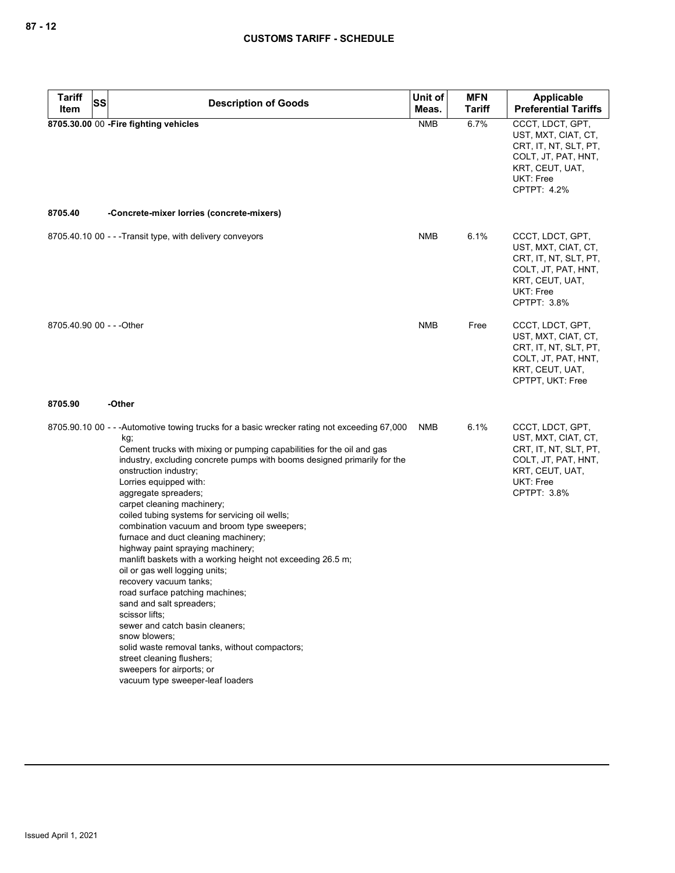| <b>Tariff</b><br>SS       | <b>Description of Goods</b>                                                                                                                                                                                                                                                                                                                                                                                                                                                                                                                                                                                                                                                                                                                                                                                                                                                                                                                                    | Unit of    | <b>MFN</b>    | <b>Applicable</b>                                                                                                                             |
|---------------------------|----------------------------------------------------------------------------------------------------------------------------------------------------------------------------------------------------------------------------------------------------------------------------------------------------------------------------------------------------------------------------------------------------------------------------------------------------------------------------------------------------------------------------------------------------------------------------------------------------------------------------------------------------------------------------------------------------------------------------------------------------------------------------------------------------------------------------------------------------------------------------------------------------------------------------------------------------------------|------------|---------------|-----------------------------------------------------------------------------------------------------------------------------------------------|
| Item                      |                                                                                                                                                                                                                                                                                                                                                                                                                                                                                                                                                                                                                                                                                                                                                                                                                                                                                                                                                                | Meas.      | <b>Tariff</b> | <b>Preferential Tariffs</b>                                                                                                                   |
|                           | 8705.30.00 00 - Fire fighting vehicles                                                                                                                                                                                                                                                                                                                                                                                                                                                                                                                                                                                                                                                                                                                                                                                                                                                                                                                         | <b>NMB</b> | 6.7%          | CCCT, LDCT, GPT,<br>UST, MXT, CIAT, CT,<br>CRT, IT, NT, SLT, PT,<br>COLT, JT, PAT, HNT,<br>KRT, CEUT, UAT,<br>UKT: Free<br>CPTPT: 4.2%        |
| 8705.40                   | -Concrete-mixer lorries (concrete-mixers)                                                                                                                                                                                                                                                                                                                                                                                                                                                                                                                                                                                                                                                                                                                                                                                                                                                                                                                      |            |               |                                                                                                                                               |
|                           | 8705.40.10 00 - - -Transit type, with delivery conveyors                                                                                                                                                                                                                                                                                                                                                                                                                                                                                                                                                                                                                                                                                                                                                                                                                                                                                                       | NMB        | 6.1%          | CCCT, LDCT, GPT,<br>UST, MXT, CIAT, CT,<br>CRT, IT, NT, SLT, PT,<br>COLT, JT, PAT, HNT,<br>KRT, CEUT, UAT,<br><b>UKT: Free</b><br>CPTPT: 3.8% |
| 8705.40.90 00 - - - Other |                                                                                                                                                                                                                                                                                                                                                                                                                                                                                                                                                                                                                                                                                                                                                                                                                                                                                                                                                                | <b>NMB</b> | Free          | CCCT, LDCT, GPT,<br>UST, MXT, CIAT, CT,<br>CRT, IT, NT, SLT, PT,<br>COLT, JT, PAT, HNT,<br>KRT, CEUT, UAT,<br>CPTPT, UKT: Free                |
| 8705.90                   | -Other                                                                                                                                                                                                                                                                                                                                                                                                                                                                                                                                                                                                                                                                                                                                                                                                                                                                                                                                                         |            |               |                                                                                                                                               |
|                           | 8705.90.10 00 - - -Automotive towing trucks for a basic wrecker rating not exceeding 67,000<br>kg;<br>Cement trucks with mixing or pumping capabilities for the oil and gas<br>industry, excluding concrete pumps with booms designed primarily for the<br>onstruction industry;<br>Lorries equipped with:<br>aggregate spreaders;<br>carpet cleaning machinery;<br>coiled tubing systems for servicing oil wells;<br>combination vacuum and broom type sweepers;<br>furnace and duct cleaning machinery;<br>highway paint spraying machinery;<br>manlift baskets with a working height not exceeding 26.5 m;<br>oil or gas well logging units;<br>recovery vacuum tanks;<br>road surface patching machines;<br>sand and salt spreaders;<br>scissor lifts;<br>sewer and catch basin cleaners;<br>snow blowers;<br>solid waste removal tanks, without compactors;<br>street cleaning flushers;<br>sweepers for airports; or<br>vacuum type sweeper-leaf loaders | NMB        | 6.1%          | CCCT, LDCT, GPT,<br>UST, MXT, CIAT, CT,<br>CRT, IT, NT, SLT, PT,<br>COLT, JT, PAT, HNT,<br>KRT, CEUT, UAT,<br>UKT: Free<br>CPTPT: 3.8%        |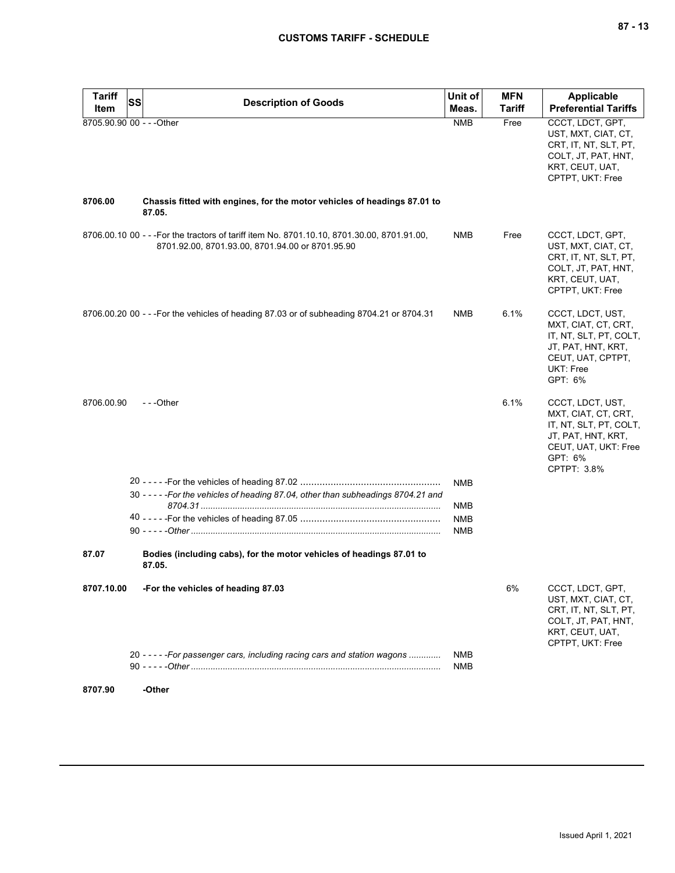| <b>Tariff</b>             | SS | <b>Description of Goods</b>                                                                                                                     | Unit of           | <b>MFN</b>    | Applicable                                                                                                                                |
|---------------------------|----|-------------------------------------------------------------------------------------------------------------------------------------------------|-------------------|---------------|-------------------------------------------------------------------------------------------------------------------------------------------|
| Item                      |    |                                                                                                                                                 | Meas.             | <b>Tariff</b> | <b>Preferential Tariffs</b>                                                                                                               |
| 8705.90.90 00 - - - Other |    |                                                                                                                                                 | <b>NMB</b>        | Free          | CCCT, LDCT, GPT,<br>UST, MXT, CIAT, CT,<br>CRT, IT, NT, SLT, PT,<br>COLT, JT, PAT, HNT,<br>KRT, CEUT, UAT,<br>CPTPT, UKT: Free            |
| 8706.00                   |    | Chassis fitted with engines, for the motor vehicles of headings 87.01 to<br>87.05.                                                              |                   |               |                                                                                                                                           |
|                           |    | 8706.00.10 00 - - - For the tractors of tariff item No. 8701.10.10, 8701.30.00, 8701.91.00,<br>8701.92.00, 8701.93.00, 8701.94.00 or 8701.95.90 | NMB               | Free          | CCCT, LDCT, GPT,<br>UST, MXT, CIAT, CT,<br>CRT, IT, NT, SLT, PT,<br>COLT, JT, PAT, HNT,<br>KRT, CEUT, UAT,<br>CPTPT, UKT: Free            |
|                           |    | 8706.00.20 00 - - - For the vehicles of heading 87.03 or of subheading 8704.21 or 8704.31                                                       | <b>NMB</b>        | 6.1%          | CCCT, LDCT, UST,<br>MXT, CIAT, CT, CRT,<br>IT, NT, SLT, PT, COLT,<br>JT, PAT, HNT, KRT,<br>CEUT, UAT, CPTPT,<br>UKT: Free<br>GPT: 6%      |
| 8706.00.90                |    | $-$ - -Other                                                                                                                                    |                   | 6.1%          | CCCT, LDCT, UST,<br>MXT, CIAT, CT, CRT,<br>IT, NT, SLT, PT, COLT,<br>JT, PAT, HNT, KRT,<br>CEUT, UAT, UKT: Free<br>GPT: 6%<br>CPTPT: 3.8% |
|                           |    |                                                                                                                                                 | <b>NMB</b>        |               |                                                                                                                                           |
|                           |    | 30 - - - - - For the vehicles of heading 87.04, other than subheadings 8704.21 and                                                              | NMB               |               |                                                                                                                                           |
|                           |    |                                                                                                                                                 | <b>NMB</b>        |               |                                                                                                                                           |
|                           |    |                                                                                                                                                 | <b>NMB</b>        |               |                                                                                                                                           |
| 87.07                     |    | Bodies (including cabs), for the motor vehicles of headings 87.01 to<br>87.05.                                                                  |                   |               |                                                                                                                                           |
| 8707.10.00                |    | -For the vehicles of heading 87.03                                                                                                              |                   | 6%            | CCCT, LDCT, GPT,<br>UST, MXT, CIAT, CT,<br>CRT, IT, NT, SLT, PT,<br>COLT, JT, PAT, HNT,<br>KRT, CEUT, UAT,<br>CPTPT, UKT: Free            |
|                           |    | 20 - - - - - For passenger cars, including racing cars and station wagons                                                                       | <b>NMB</b><br>NMB |               |                                                                                                                                           |
| 8707.90                   |    | -Other                                                                                                                                          |                   |               |                                                                                                                                           |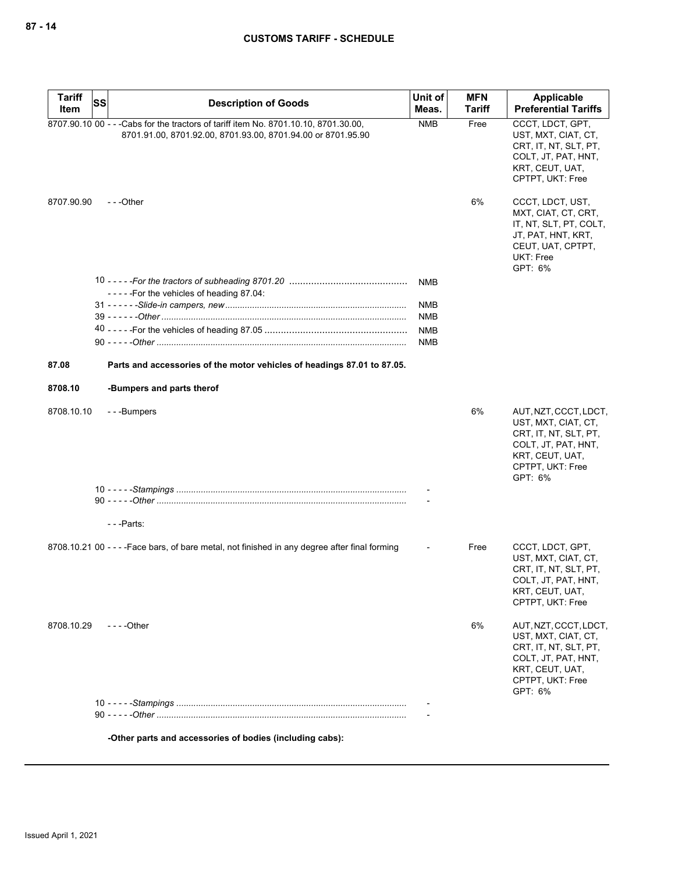| <b>Tariff</b> | SS | <b>Description of Goods</b>                                                                                                                          | Unit of    | <b>MFN</b>    | Applicable                                                                                                                                     |
|---------------|----|------------------------------------------------------------------------------------------------------------------------------------------------------|------------|---------------|------------------------------------------------------------------------------------------------------------------------------------------------|
| Item          |    |                                                                                                                                                      | Meas.      | <b>Tariff</b> | <b>Preferential Tariffs</b>                                                                                                                    |
|               |    | 8707.90.10 00 - - - Cabs for the tractors of tariff item No. 8701.10.10, 8701.30.00,<br>8701.91.00, 8701.92.00, 8701.93.00, 8701.94.00 or 8701.95.90 | <b>NMB</b> | Free          | CCCT, LDCT, GPT,<br>UST, MXT, CIAT, CT,<br>CRT, IT, NT, SLT, PT,<br>COLT, JT, PAT, HNT,<br>KRT, CEUT, UAT,<br>CPTPT, UKT: Free                 |
| 8707.90.90    |    | $- -$ Other                                                                                                                                          |            | 6%            | CCCT, LDCT, UST,<br>MXT, CIAT, CT, CRT,<br>IT, NT, SLT, PT, COLT,<br>JT, PAT, HNT, KRT,<br>CEUT, UAT, CPTPT,<br><b>UKT: Free</b><br>GPT: 6%    |
|               |    |                                                                                                                                                      | <b>NMB</b> |               |                                                                                                                                                |
|               |    | -----For the vehicles of heading 87.04:                                                                                                              |            |               |                                                                                                                                                |
|               |    |                                                                                                                                                      | <b>NMB</b> |               |                                                                                                                                                |
|               |    |                                                                                                                                                      | <b>NMB</b> |               |                                                                                                                                                |
|               |    |                                                                                                                                                      | <b>NMB</b> |               |                                                                                                                                                |
|               |    |                                                                                                                                                      | <b>NMB</b> |               |                                                                                                                                                |
| 87.08         |    | Parts and accessories of the motor vehicles of headings 87.01 to 87.05.                                                                              |            |               |                                                                                                                                                |
| 8708.10       |    | -Bumpers and parts therof                                                                                                                            |            |               |                                                                                                                                                |
| 8708.10.10    |    | ---Bumpers                                                                                                                                           |            | 6%            | AUT, NZT, CCCT, LDCT,<br>UST, MXT, CIAT, CT,<br>CRT, IT, NT, SLT, PT,<br>COLT, JT, PAT, HNT,<br>KRT, CEUT, UAT,<br>CPTPT, UKT: Free<br>GPT: 6% |
|               |    |                                                                                                                                                      |            |               |                                                                                                                                                |
|               |    |                                                                                                                                                      |            |               |                                                                                                                                                |
|               |    | ---Parts:                                                                                                                                            |            |               |                                                                                                                                                |
|               |    |                                                                                                                                                      |            |               |                                                                                                                                                |
|               |    | 8708.10.21 00 - - - - Face bars, of bare metal, not finished in any degree after final forming                                                       |            | Free          | CCCT, LDCT, GPT,<br>UST, MXT, CIAT, CT,<br>CRT, IT, NT, SLT, PT,<br>COLT, JT, PAT, HNT,<br>KRT, CEUT, UAT,<br>CPTPT, UKT: Free                 |
| 8708.10.29    |    | $- - -$ Other                                                                                                                                        |            | 6%            | AUT, NZT, CCCT, LDCT,<br>UST, MXT, CIAT, CT,<br>CRT, IT, NT, SLT, PT,<br>COLT, JT, PAT, HNT,<br>KRT, CEUT, UAT,<br>CPTPT, UKT: Free<br>GPT: 6% |
|               |    |                                                                                                                                                      |            |               |                                                                                                                                                |
|               |    |                                                                                                                                                      |            |               |                                                                                                                                                |
|               |    | -Other parts and accessories of bodies (including cabs):                                                                                             |            |               |                                                                                                                                                |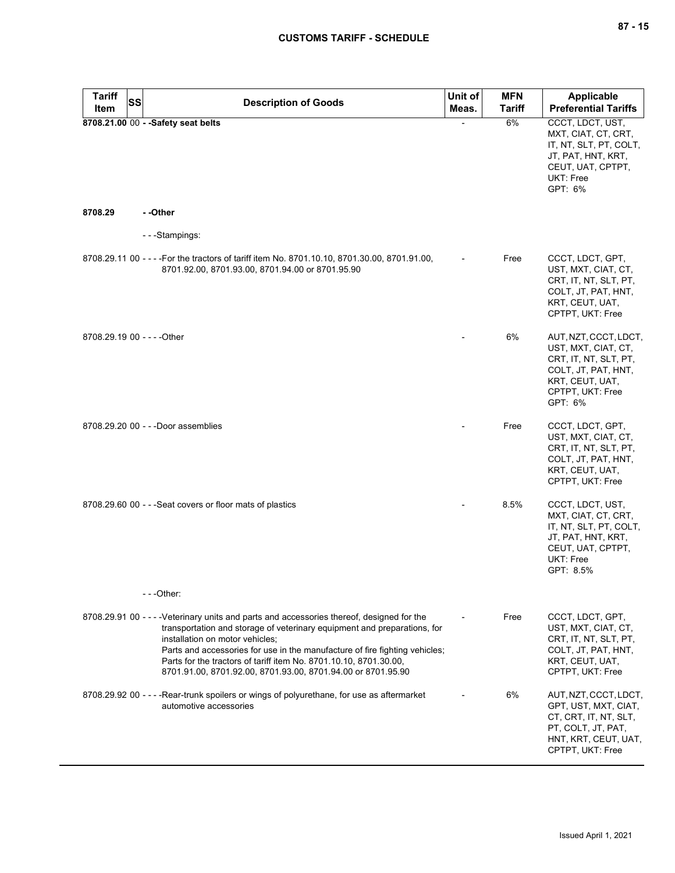| <b>Tariff</b><br>SS<br>Item | <b>Description of Goods</b>                                                                                                                                                                                                                                                                                                                                                                                                   | Unit of<br>Meas. | <b>MFN</b><br><b>Tariff</b> | <b>Applicable</b><br><b>Preferential Tariffs</b>                                                                                               |
|-----------------------------|-------------------------------------------------------------------------------------------------------------------------------------------------------------------------------------------------------------------------------------------------------------------------------------------------------------------------------------------------------------------------------------------------------------------------------|------------------|-----------------------------|------------------------------------------------------------------------------------------------------------------------------------------------|
|                             | 8708.21.00 00 - - Safety seat belts                                                                                                                                                                                                                                                                                                                                                                                           |                  | 6%                          | CCCT, LDCT, UST,<br>MXT, CIAT, CT, CRT,<br>IT, NT, SLT, PT, COLT,<br>JT, PAT, HNT, KRT,<br>CEUT, UAT, CPTPT,<br><b>UKT: Free</b><br>GPT: 6%    |
| 8708.29                     | - -Other                                                                                                                                                                                                                                                                                                                                                                                                                      |                  |                             |                                                                                                                                                |
|                             | ---Stampings:                                                                                                                                                                                                                                                                                                                                                                                                                 |                  |                             |                                                                                                                                                |
|                             | 8708.29.11 00 - - - For the tractors of tariff item No. 8701.10.10, 8701.30.00, 8701.91.00,<br>8701.92.00, 8701.93.00, 8701.94.00 or 8701.95.90                                                                                                                                                                                                                                                                               |                  | Free                        | CCCT, LDCT, GPT,<br>UST, MXT, CIAT, CT,<br>CRT, IT, NT, SLT, PT,<br>COLT, JT, PAT, HNT,<br>KRT, CEUT, UAT,<br>CPTPT, UKT: Free                 |
| 8708.29.19 00 - - - - Other |                                                                                                                                                                                                                                                                                                                                                                                                                               |                  | 6%                          | AUT, NZT, CCCT, LDCT,<br>UST, MXT, CIAT, CT,<br>CRT, IT, NT, SLT, PT,<br>COLT, JT, PAT, HNT,<br>KRT, CEUT, UAT,<br>CPTPT, UKT: Free<br>GPT: 6% |
|                             | 8708.29.20 00 - - - Door assemblies                                                                                                                                                                                                                                                                                                                                                                                           |                  | Free                        | CCCT, LDCT, GPT,<br>UST, MXT, CIAT, CT,<br>CRT, IT, NT, SLT, PT,<br>COLT, JT, PAT, HNT,<br>KRT, CEUT, UAT,<br>CPTPT, UKT: Free                 |
|                             | 8708.29.60 00 - - - Seat covers or floor mats of plastics                                                                                                                                                                                                                                                                                                                                                                     |                  | 8.5%                        | CCCT, LDCT, UST,<br>MXT, CIAT, CT, CRT,<br>IT, NT, SLT, PT, COLT,<br>JT, PAT, HNT, KRT,<br>CEUT, UAT, CPTPT,<br><b>UKT: Free</b><br>GPT: 8.5%  |
|                             | ---Other:                                                                                                                                                                                                                                                                                                                                                                                                                     |                  |                             |                                                                                                                                                |
|                             | 8708.29.91 00 - - - - Veterinary units and parts and accessories thereof, designed for the<br>transportation and storage of veterinary equipment and preparations, for<br>installation on motor vehicles;<br>Parts and accessories for use in the manufacture of fire fighting vehicles;<br>Parts for the tractors of tariff item No. 8701.10.10, 8701.30.00,<br>8701.91.00, 8701.92.00, 8701.93.00, 8701.94.00 or 8701.95.90 |                  | Free                        | CCCT, LDCT, GPT,<br>UST, MXT, CIAT, CT,<br>CRT, IT, NT, SLT, PT,<br>COLT, JT, PAT, HNT,<br>KRT, CEUT, UAT,<br>CPTPT, UKT: Free                 |
|                             | 8708.29.92 00 - - - - Rear-trunk spoilers or wings of polyurethane, for use as aftermarket<br>automotive accessories                                                                                                                                                                                                                                                                                                          |                  | 6%                          | AUT, NZT, CCCT, LDCT,<br>GPT, UST, MXT, CIAT,<br>CT, CRT, IT, NT, SLT,<br>PT, COLT, JT, PAT,<br>HNT, KRT, CEUT, UAT,<br>CPTPT, UKT: Free       |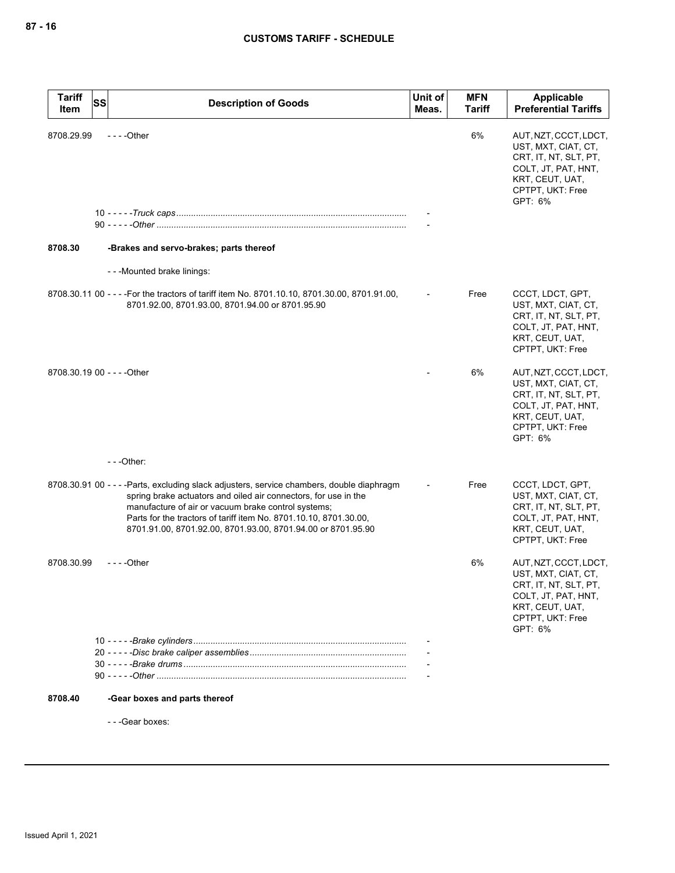| <b>Tariff</b><br>Item | <b>SS</b><br><b>Description of Goods</b>                                                                                                                                                                                                                                                                                                                  | Unit of<br>Meas. | <b>MFN</b><br><b>Tariff</b> | Applicable<br><b>Preferential Tariffs</b>                                                                                                      |
|-----------------------|-----------------------------------------------------------------------------------------------------------------------------------------------------------------------------------------------------------------------------------------------------------------------------------------------------------------------------------------------------------|------------------|-----------------------------|------------------------------------------------------------------------------------------------------------------------------------------------|
| 8708.29.99            | $--$ - Other                                                                                                                                                                                                                                                                                                                                              |                  | 6%                          | AUT, NZT, CCCT, LDCT,<br>UST, MXT, CIAT, CT,<br>CRT, IT, NT, SLT, PT,<br>COLT, JT, PAT, HNT,<br>KRT, CEUT, UAT,<br>CPTPT, UKT: Free<br>GPT: 6% |
|                       |                                                                                                                                                                                                                                                                                                                                                           |                  |                             |                                                                                                                                                |
| 8708.30               | -Brakes and servo-brakes; parts thereof                                                                                                                                                                                                                                                                                                                   |                  |                             |                                                                                                                                                |
|                       | ---Mounted brake linings:                                                                                                                                                                                                                                                                                                                                 |                  |                             |                                                                                                                                                |
|                       | 8708.30.11 00 - - - For the tractors of tariff item No. 8701.10.10, 8701.30.00, 8701.91.00,<br>8701.92.00, 8701.93.00, 8701.94.00 or 8701.95.90                                                                                                                                                                                                           |                  | Free                        | CCCT, LDCT, GPT,<br>UST, MXT, CIAT, CT,<br>CRT, IT, NT, SLT, PT,<br>COLT, JT, PAT, HNT,<br>KRT, CEUT, UAT,<br>CPTPT, UKT: Free                 |
|                       | 8708.30.19 00 - - - - Other                                                                                                                                                                                                                                                                                                                               |                  | 6%                          | AUT, NZT, CCCT, LDCT,<br>UST, MXT, CIAT, CT,<br>CRT, IT, NT, SLT, PT,<br>COLT, JT, PAT, HNT,<br>KRT, CEUT, UAT,<br>CPTPT, UKT: Free<br>GPT: 6% |
|                       | $--$ Other:                                                                                                                                                                                                                                                                                                                                               |                  |                             |                                                                                                                                                |
|                       | 8708.30.91 00 - - - - Parts, excluding slack adjusters, service chambers, double diaphragm<br>spring brake actuators and oiled air connectors, for use in the<br>manufacture of air or vacuum brake control systems;<br>Parts for the tractors of tariff item No. 8701.10.10, 8701.30.00,<br>8701.91.00, 8701.92.00, 8701.93.00, 8701.94.00 or 8701.95.90 |                  | Free                        | CCCT, LDCT, GPT,<br>UST, MXT, CIAT, CT,<br>CRT, IT, NT, SLT, PT,<br>COLT, JT, PAT, HNT,<br>KRT, CEUT, UAT,<br>CPTPT, UKT: Free                 |
| 8708.30.99            | - - - - Other                                                                                                                                                                                                                                                                                                                                             |                  | 6%                          | AUT, NZT, CCCT, LDCT,<br>UST, MXT, CIAT, CT,<br>CRT, IT, NT, SLT, PT,<br>COLT, JT, PAT, HNT,<br>KRT, CEUT, UAT,<br>CPTPT, UKT: Free<br>GPT: 6% |
|                       |                                                                                                                                                                                                                                                                                                                                                           |                  |                             |                                                                                                                                                |
|                       |                                                                                                                                                                                                                                                                                                                                                           |                  |                             |                                                                                                                                                |
| 8708.40               | -Gear boxes and parts thereof                                                                                                                                                                                                                                                                                                                             |                  |                             |                                                                                                                                                |
|                       | --- Gear boxes:                                                                                                                                                                                                                                                                                                                                           |                  |                             |                                                                                                                                                |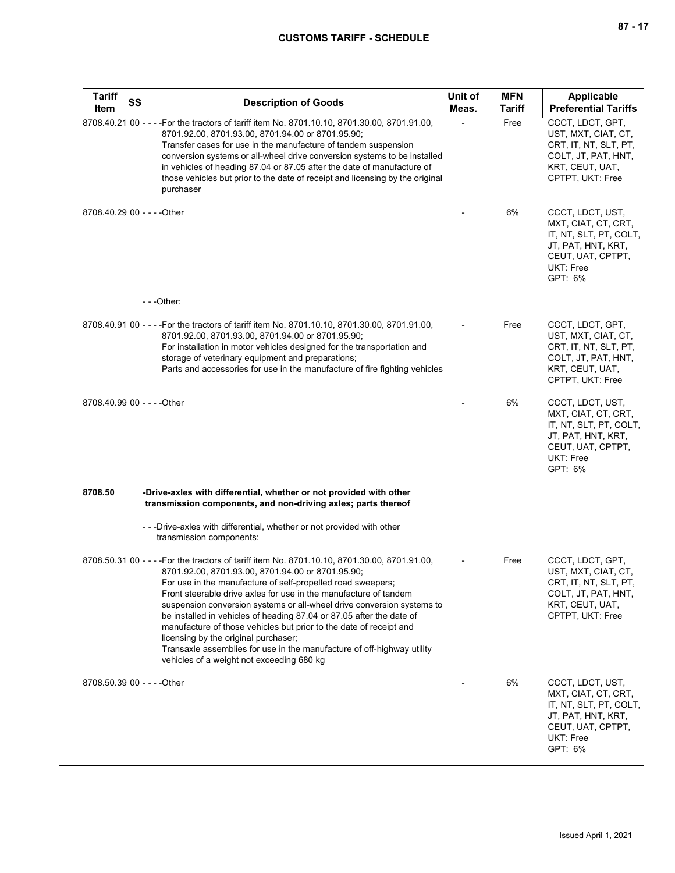| <b>Tariff</b><br>Item       | SS | <b>Description of Goods</b>                                                                                                                                                                                                                                                                                                                                                                                                                                                                                                                                                                                                                                                  | Unit of<br>Meas. | <b>MFN</b><br><b>Tariff</b> | Applicable<br><b>Preferential Tariffs</b>                                                                                            |
|-----------------------------|----|------------------------------------------------------------------------------------------------------------------------------------------------------------------------------------------------------------------------------------------------------------------------------------------------------------------------------------------------------------------------------------------------------------------------------------------------------------------------------------------------------------------------------------------------------------------------------------------------------------------------------------------------------------------------------|------------------|-----------------------------|--------------------------------------------------------------------------------------------------------------------------------------|
|                             |    | 8708.40.21 00 - - - - For the tractors of tariff item No. 8701.10.10, 8701.30.00, 8701.91.00,<br>8701.92.00, 8701.93.00, 8701.94.00 or 8701.95.90;<br>Transfer cases for use in the manufacture of tandem suspension<br>conversion systems or all-wheel drive conversion systems to be installed<br>in vehicles of heading 87.04 or 87.05 after the date of manufacture of<br>those vehicles but prior to the date of receipt and licensing by the original<br>purchaser                                                                                                                                                                                                     |                  | Free                        | CCCT, LDCT, GPT,<br>UST, MXT, CIAT, CT,<br>CRT, IT, NT, SLT, PT,<br>COLT, JT, PAT, HNT,<br>KRT, CEUT, UAT,<br>CPTPT, UKT: Free       |
| 8708.40.29 00 - - - - Other |    |                                                                                                                                                                                                                                                                                                                                                                                                                                                                                                                                                                                                                                                                              |                  | 6%                          | CCCT, LDCT, UST,<br>MXT, CIAT, CT, CRT,<br>IT, NT, SLT, PT, COLT,<br>JT, PAT, HNT, KRT,<br>CEUT, UAT, CPTPT,<br>UKT: Free<br>GPT: 6% |
|                             |    | $- -$ Other:                                                                                                                                                                                                                                                                                                                                                                                                                                                                                                                                                                                                                                                                 |                  |                             |                                                                                                                                      |
|                             |    | 8708.40.91 00 - - - - For the tractors of tariff item No. 8701.10.10, 8701.30.00, 8701.91.00,<br>8701.92.00, 8701.93.00, 8701.94.00 or 8701.95.90;<br>For installation in motor vehicles designed for the transportation and<br>storage of veterinary equipment and preparations;<br>Parts and accessories for use in the manufacture of fire fighting vehicles                                                                                                                                                                                                                                                                                                              |                  | Free                        | CCCT, LDCT, GPT,<br>UST, MXT, CIAT, CT,<br>CRT, IT, NT, SLT, PT,<br>COLT, JT, PAT, HNT,<br>KRT, CEUT, UAT,<br>CPTPT, UKT: Free       |
| 8708.40.99 00 - - - - Other |    |                                                                                                                                                                                                                                                                                                                                                                                                                                                                                                                                                                                                                                                                              |                  | 6%                          | CCCT, LDCT, UST,<br>MXT, CIAT, CT, CRT,<br>IT, NT, SLT, PT, COLT,<br>JT, PAT, HNT, KRT,<br>CEUT, UAT, CPTPT,<br>UKT: Free<br>GPT: 6% |
| 8708.50                     |    | -Drive-axles with differential, whether or not provided with other<br>transmission components, and non-driving axles; parts thereof                                                                                                                                                                                                                                                                                                                                                                                                                                                                                                                                          |                  |                             |                                                                                                                                      |
|                             |    | - - - Drive-axles with differential, whether or not provided with other<br>transmission components:                                                                                                                                                                                                                                                                                                                                                                                                                                                                                                                                                                          |                  |                             |                                                                                                                                      |
|                             |    | 8708.50.31 00 - - - - For the tractors of tariff item No. 8701.10.10, 8701.30.00, 8701.91.00,<br>8701.92.00, 8701.93.00, 8701.94.00 or 8701.95.90;<br>For use in the manufacture of self-propelled road sweepers;<br>Front steerable drive axles for use in the manufacture of tandem<br>suspension conversion systems or all-wheel drive conversion systems to<br>be installed in vehicles of heading 87.04 or 87.05 after the date of<br>manufacture of those vehicles but prior to the date of receipt and<br>licensing by the original purchaser;<br>Transaxle assemblies for use in the manufacture of off-highway utility<br>vehicles of a weight not exceeding 680 kg |                  | Free                        | CCCT, LDCT, GPT,<br>UST, MXT, CIAT, CT,<br>CRT, IT, NT, SLT, PT,<br>COLT, JT, PAT, HNT,<br>KRT, CEUT, UAT,<br>CPTPT, UKT: Free       |
| 8708.50.39 00 - - - - Other |    |                                                                                                                                                                                                                                                                                                                                                                                                                                                                                                                                                                                                                                                                              |                  | 6%                          | CCCT, LDCT, UST,<br>MXT, CIAT, CT, CRT,<br>IT, NT, SLT, PT, COLT,<br>JT, PAT, HNT, KRT,<br>CEUT, UAT, CPTPT,<br>UKT: Free<br>GPT: 6% |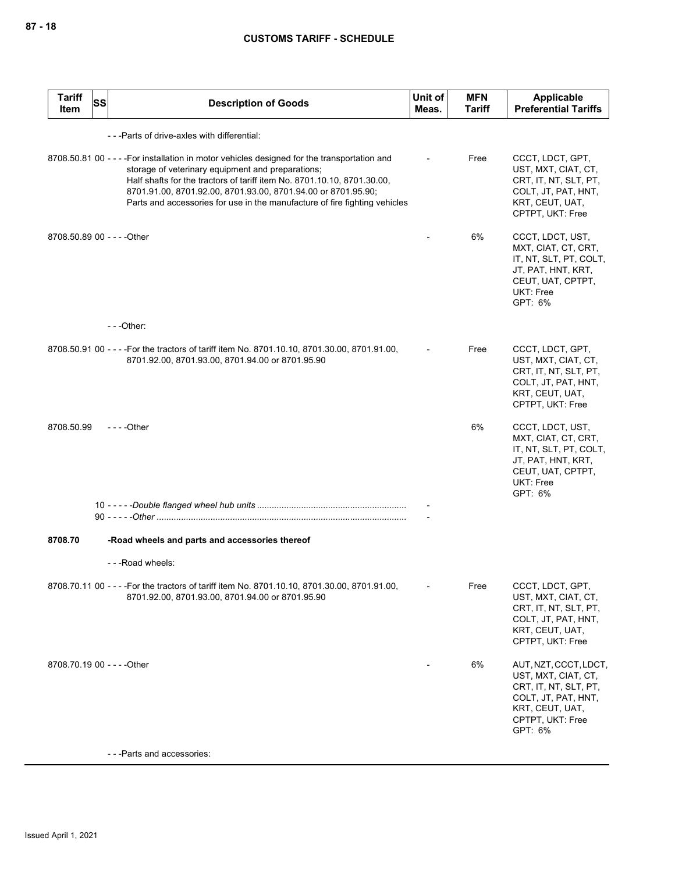| <b>Tariff</b><br>Item       | SS<br><b>Description of Goods</b>                                                                                                                                                                                                                                                                                                                                           | Unit of<br>Meas. | <b>MFN</b><br><b>Tariff</b> | <b>Applicable</b><br><b>Preferential Tariffs</b>                                                                                               |
|-----------------------------|-----------------------------------------------------------------------------------------------------------------------------------------------------------------------------------------------------------------------------------------------------------------------------------------------------------------------------------------------------------------------------|------------------|-----------------------------|------------------------------------------------------------------------------------------------------------------------------------------------|
|                             | - - - Parts of drive-axles with differential:                                                                                                                                                                                                                                                                                                                               |                  |                             |                                                                                                                                                |
|                             | 8708.50.81 00 - - - - For installation in motor vehicles designed for the transportation and<br>storage of veterinary equipment and preparations;<br>Half shafts for the tractors of tariff item No. 8701.10.10, 8701.30.00,<br>8701.91.00, 8701.92.00, 8701.93.00, 8701.94.00 or 8701.95.90;<br>Parts and accessories for use in the manufacture of fire fighting vehicles |                  | Free                        | CCCT, LDCT, GPT,<br>UST, MXT, CIAT, CT,<br>CRT, IT, NT, SLT, PT,<br>COLT, JT, PAT, HNT,<br>KRT, CEUT, UAT,<br>CPTPT, UKT: Free                 |
| 8708.50.89 00 - - - - Other |                                                                                                                                                                                                                                                                                                                                                                             |                  | 6%                          | CCCT, LDCT, UST,<br>MXT, CIAT, CT, CRT,<br>IT, NT, SLT, PT, COLT,<br>JT, PAT, HNT, KRT,<br>CEUT, UAT, CPTPT,<br>UKT: Free<br>GPT: 6%           |
|                             | $-$ - - Other:                                                                                                                                                                                                                                                                                                                                                              |                  |                             |                                                                                                                                                |
|                             | 8708.50.91 00 - - - For the tractors of tariff item No. 8701.10.10, 8701.30.00, 8701.91.00,<br>8701.92.00, 8701.93.00, 8701.94.00 or 8701.95.90                                                                                                                                                                                                                             |                  | Free                        | CCCT, LDCT, GPT,<br>UST, MXT, CIAT, CT,<br>CRT, IT, NT, SLT, PT,<br>COLT, JT, PAT, HNT,<br>KRT, CEUT, UAT,<br>CPTPT, UKT: Free                 |
| 8708.50.99                  | $- - -$ Other                                                                                                                                                                                                                                                                                                                                                               |                  | 6%                          | CCCT, LDCT, UST,<br>MXT, CIAT, CT, CRT,<br>IT, NT, SLT, PT, COLT,<br>JT, PAT, HNT, KRT,<br>CEUT, UAT, CPTPT,<br><b>UKT: Free</b><br>GPT: 6%    |
|                             |                                                                                                                                                                                                                                                                                                                                                                             |                  |                             |                                                                                                                                                |
|                             |                                                                                                                                                                                                                                                                                                                                                                             |                  |                             |                                                                                                                                                |
| 8708.70                     | -Road wheels and parts and accessories thereof                                                                                                                                                                                                                                                                                                                              |                  |                             |                                                                                                                                                |
|                             | - - - Road wheels:                                                                                                                                                                                                                                                                                                                                                          |                  |                             |                                                                                                                                                |
|                             | 8708.70.11 00 - - - - For the tractors of tariff item No. 8701.10.10, 8701.30.00, 8701.91.00,<br>8701.92.00, 8701.93.00, 8701.94.00 or 8701.95.90                                                                                                                                                                                                                           |                  | Free                        | CCCT, LDCT, GPT,<br>UST, MXT, CIAT, CT,<br>CRT, IT, NT, SLT, PT,<br>COLT, JT, PAT, HNT,<br>KRT, CEUT, UAT,<br>CPTPT, UKT: Free                 |
| 8708.70.19 00 - - - - Other |                                                                                                                                                                                                                                                                                                                                                                             |                  | 6%                          | AUT, NZT, CCCT, LDCT,<br>UST, MXT, CIAT, CT,<br>CRT, IT, NT, SLT, PT,<br>COLT, JT, PAT, HNT,<br>KRT, CEUT, UAT,<br>CPTPT, UKT: Free<br>GPT: 6% |
|                             | - - - Parts and accessories:                                                                                                                                                                                                                                                                                                                                                |                  |                             |                                                                                                                                                |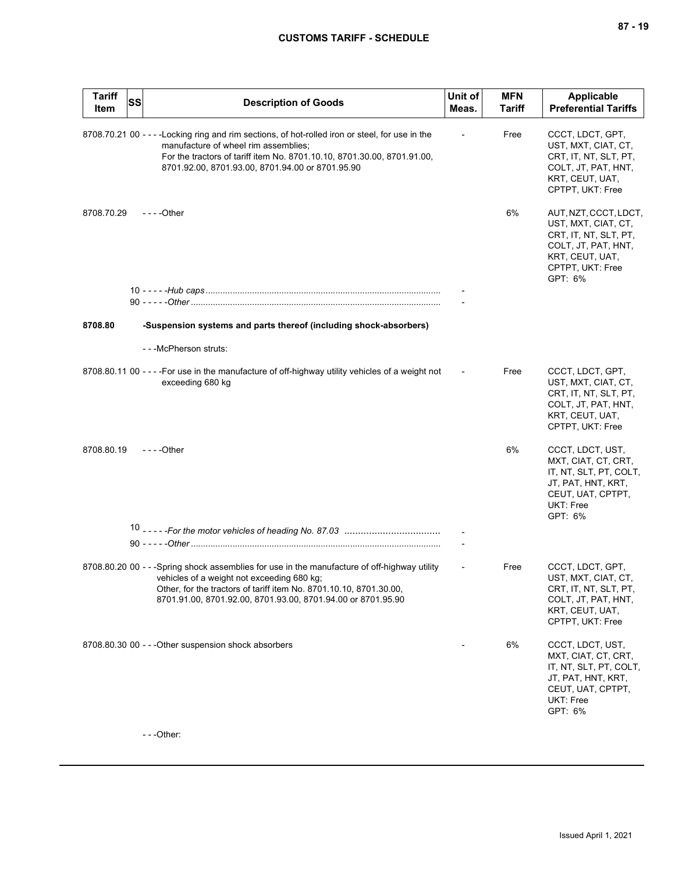| <b>Tariff</b><br>Item | <b>SS</b> | <b>Description of Goods</b>                                                                                                                                                                                                                                                      | Unit of<br>Meas. | <b>MFN</b><br>Tariff | <b>Applicable</b><br><b>Preferential Tariffs</b>                                                                                               |
|-----------------------|-----------|----------------------------------------------------------------------------------------------------------------------------------------------------------------------------------------------------------------------------------------------------------------------------------|------------------|----------------------|------------------------------------------------------------------------------------------------------------------------------------------------|
|                       |           | 8708.70.21 00 - - - -Locking ring and rim sections, of hot-rolled iron or steel, for use in the<br>manufacture of wheel rim assemblies;<br>For the tractors of tariff item No. 8701.10.10, 8701.30.00, 8701.91.00,<br>8701.92.00, 8701.93.00, 8701.94.00 or 8701.95.90           |                  | Free                 | CCCT, LDCT, GPT,<br>UST, MXT, CIAT, CT,<br>CRT, IT, NT, SLT, PT,<br>COLT, JT, PAT, HNT,<br>KRT, CEUT, UAT,<br>CPTPT, UKT: Free                 |
| 8708.70.29            |           | $--$ Other                                                                                                                                                                                                                                                                       |                  | 6%                   | AUT, NZT, CCCT, LDCT,<br>UST, MXT, CIAT, CT,<br>CRT, IT, NT, SLT, PT,<br>COLT, JT, PAT, HNT,<br>KRT, CEUT, UAT,<br>CPTPT, UKT: Free<br>GPT: 6% |
|                       |           |                                                                                                                                                                                                                                                                                  |                  |                      |                                                                                                                                                |
| 8708.80               |           | -Suspension systems and parts thereof (including shock-absorbers)                                                                                                                                                                                                                |                  |                      |                                                                                                                                                |
|                       |           | - - - McPherson struts:                                                                                                                                                                                                                                                          |                  |                      |                                                                                                                                                |
|                       |           | 8708.80.11 00 - - - - For use in the manufacture of off-highway utility vehicles of a weight not<br>exceeding 680 kg                                                                                                                                                             |                  | Free                 | CCCT, LDCT, GPT,<br>UST, MXT, CIAT, CT,<br>CRT, IT, NT, SLT, PT,<br>COLT, JT, PAT, HNT,<br>KRT, CEUT, UAT,<br>CPTPT, UKT: Free                 |
| 8708.80.19            |           | $--$ Other                                                                                                                                                                                                                                                                       |                  | 6%                   | CCCT, LDCT, UST,<br>MXT, CIAT, CT, CRT,<br>IT, NT, SLT, PT, COLT,<br>JT, PAT, HNT, KRT,<br>CEUT, UAT, CPTPT,<br>UKT: Free<br>GPT: 6%           |
|                       |           |                                                                                                                                                                                                                                                                                  |                  |                      |                                                                                                                                                |
|                       |           |                                                                                                                                                                                                                                                                                  |                  |                      |                                                                                                                                                |
|                       |           | 8708.80.20 00 - - -Spring shock assemblies for use in the manufacture of off-highway utility<br>vehicles of a weight not exceeding 680 kg;<br>Other, for the tractors of tariff item No. 8701.10.10, 8701.30.00,<br>8701.91.00, 8701.92.00, 8701.93.00, 8701.94.00 or 8701.95.90 |                  | Free                 | CCCT, LDCT, GPT,<br>UST, MXT, CIAT, CT,<br>CRT, IT, NT, SLT, PT,<br>COLT, JT, PAT, HNT,<br>KRT, CEUT, UAT,<br>CPTPT, UKT: Free                 |
|                       |           | 8708.80.30 00 - - - Other suspension shock absorbers                                                                                                                                                                                                                             |                  | 6%                   | CCCT, LDCT, UST,<br>MXT, CIAT, CT, CRT,<br>IT, NT, SLT, PT, COLT,<br>JT, PAT, HNT, KRT,<br>CEUT, UAT, CPTPT,<br>UKT: Free<br>GPT: 6%           |

- - -Other: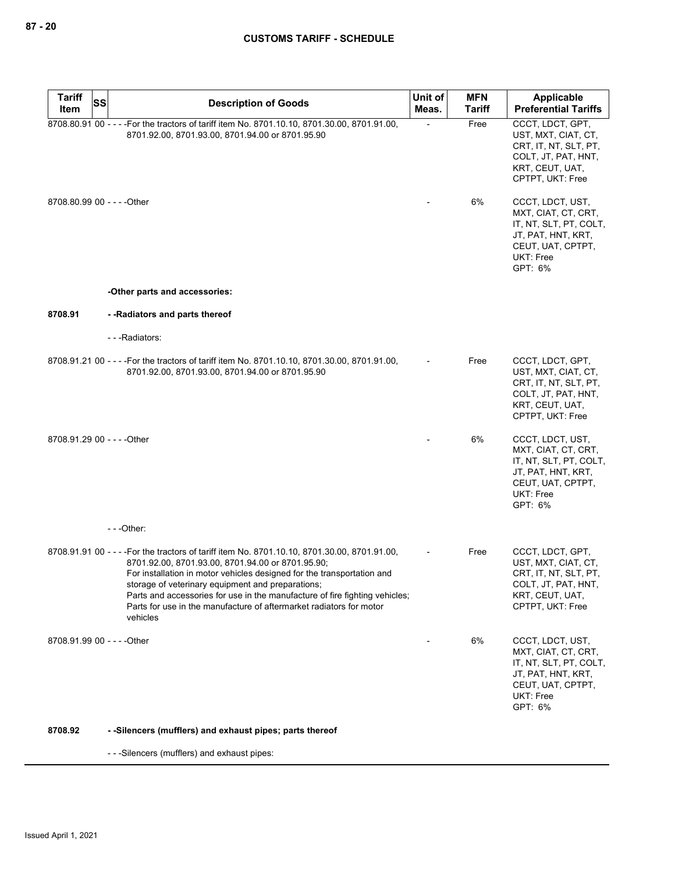| <b>Tariff</b><br>SS<br>Item | <b>Description of Goods</b>                                                                                                                                                                                                                                                                                                                                                                                                                       | Unit of<br>Meas. | <b>MFN</b><br>Tariff | Applicable<br><b>Preferential Tariffs</b>                                                                                            |
|-----------------------------|---------------------------------------------------------------------------------------------------------------------------------------------------------------------------------------------------------------------------------------------------------------------------------------------------------------------------------------------------------------------------------------------------------------------------------------------------|------------------|----------------------|--------------------------------------------------------------------------------------------------------------------------------------|
|                             | 8708.80.91 00 - - - - For the tractors of tariff item No. 8701.10.10, 8701.30.00, 8701.91.00,<br>8701.92.00, 8701.93.00, 8701.94.00 or 8701.95.90                                                                                                                                                                                                                                                                                                 |                  | Free                 | CCCT. LDCT. GPT.<br>UST, MXT, CIAT, CT,<br>CRT, IT, NT, SLT, PT,<br>COLT, JT, PAT, HNT,<br>KRT, CEUT, UAT,<br>CPTPT, UKT: Free       |
| 8708.80.99 00 - - - - Other |                                                                                                                                                                                                                                                                                                                                                                                                                                                   |                  | 6%                   | CCCT, LDCT, UST,<br>MXT, CIAT, CT, CRT,<br>IT, NT, SLT, PT, COLT,<br>JT, PAT, HNT, KRT,<br>CEUT, UAT, CPTPT,<br>UKT: Free<br>GPT: 6% |
|                             | -Other parts and accessories:                                                                                                                                                                                                                                                                                                                                                                                                                     |                  |                      |                                                                                                                                      |
| 8708.91                     | - - Radiators and parts thereof                                                                                                                                                                                                                                                                                                                                                                                                                   |                  |                      |                                                                                                                                      |
|                             | ---Radiators:                                                                                                                                                                                                                                                                                                                                                                                                                                     |                  |                      |                                                                                                                                      |
|                             | 8708.91.21 00 - - - For the tractors of tariff item No. 8701.10.10, 8701.30.00, 8701.91.00,<br>8701.92.00, 8701.93.00, 8701.94.00 or 8701.95.90                                                                                                                                                                                                                                                                                                   |                  | Free                 | CCCT, LDCT, GPT,<br>UST, MXT, CIAT, CT,<br>CRT, IT, NT, SLT, PT,<br>COLT, JT, PAT, HNT,<br>KRT, CEUT, UAT,<br>CPTPT, UKT: Free       |
| 8708.91.29 00 - - - - Other |                                                                                                                                                                                                                                                                                                                                                                                                                                                   |                  | 6%                   | CCCT, LDCT, UST,<br>MXT, CIAT, CT, CRT,<br>IT, NT, SLT, PT, COLT,<br>JT, PAT, HNT, KRT,<br>CEUT, UAT, CPTPT,<br>UKT: Free<br>GPT: 6% |
|                             | $- -$ Other:                                                                                                                                                                                                                                                                                                                                                                                                                                      |                  |                      |                                                                                                                                      |
|                             | 8708.91.91 00 - - - For the tractors of tariff item No. 8701.10.10, 8701.30.00, 8701.91.00,<br>8701.92.00, 8701.93.00, 8701.94.00 or 8701.95.90;<br>For installation in motor vehicles designed for the transportation and<br>storage of veterinary equipment and preparations;<br>Parts and accessories for use in the manufacture of fire fighting vehicles;<br>Parts for use in the manufacture of aftermarket radiators for motor<br>vehicles |                  | Free                 | CCCT, LDCT, GPT,<br>UST, MXT, CIAT, CT,<br>CRT, IT, NT, SLT, PT,<br>COLT, JT, PAT, HNT,<br>KRT, CEUT, UAT,<br>CPTPT, UKT: Free       |
| 8708.91.99 00 - - - - Other |                                                                                                                                                                                                                                                                                                                                                                                                                                                   |                  | 6%                   | CCCT, LDCT, UST,<br>MXT, CIAT, CT, CRT,<br>IT, NT, SLT, PT, COLT,<br>JT, PAT, HNT, KRT,<br>CEUT, UAT, CPTPT,<br>UKT: Free<br>GPT: 6% |
| 8708.92                     | - -Silencers (mufflers) and exhaust pipes; parts thereof                                                                                                                                                                                                                                                                                                                                                                                          |                  |                      |                                                                                                                                      |

- - -Silencers (mufflers) and exhaust pipes: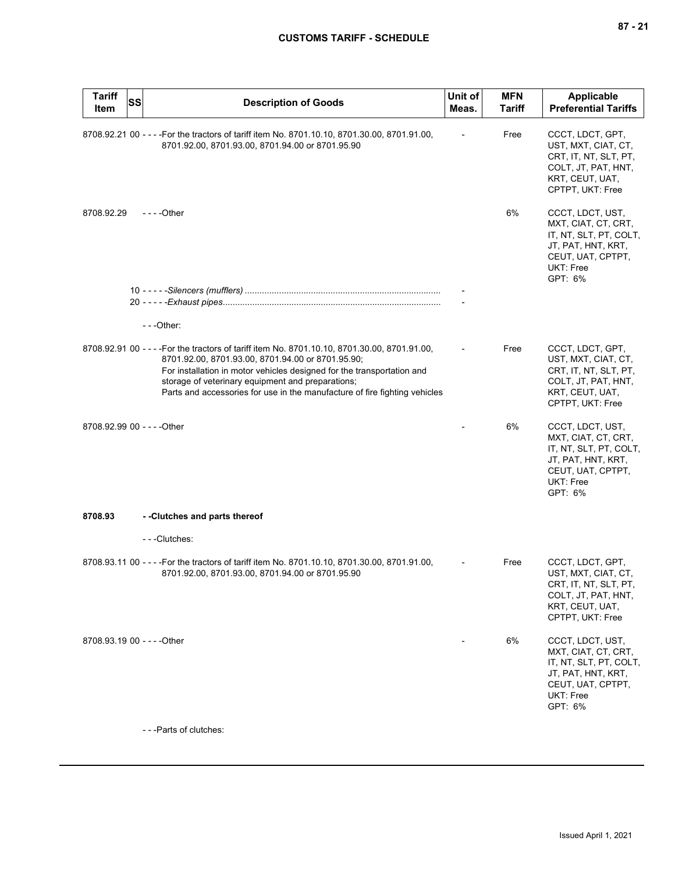| <b>Tariff</b><br>Item       | <b>SS</b> | <b>Description of Goods</b>                                                                                                                                                                                                                                                                                                                                   | Unit of<br>Meas. | <b>MFN</b><br><b>Tariff</b> | <b>Applicable</b><br><b>Preferential Tariffs</b>                                                                                     |
|-----------------------------|-----------|---------------------------------------------------------------------------------------------------------------------------------------------------------------------------------------------------------------------------------------------------------------------------------------------------------------------------------------------------------------|------------------|-----------------------------|--------------------------------------------------------------------------------------------------------------------------------------|
|                             |           | 8708.92.21 00 - - - - For the tractors of tariff item No. 8701.10.10, 8701.30.00, 8701.91.00,<br>8701.92.00, 8701.93.00, 8701.94.00 or 8701.95.90                                                                                                                                                                                                             |                  | Free                        | CCCT, LDCT, GPT,<br>UST, MXT, CIAT, CT,<br>CRT, IT, NT, SLT, PT,<br>COLT, JT, PAT, HNT,<br>KRT, CEUT, UAT,<br>CPTPT, UKT: Free       |
| 8708.92.29                  |           | $--$ Other                                                                                                                                                                                                                                                                                                                                                    |                  | 6%                          | CCCT, LDCT, UST,<br>MXT, CIAT, CT, CRT,<br>IT, NT, SLT, PT, COLT,<br>JT, PAT, HNT, KRT,<br>CEUT, UAT, CPTPT,<br>UKT: Free<br>GPT: 6% |
|                             |           |                                                                                                                                                                                                                                                                                                                                                               |                  |                             |                                                                                                                                      |
|                             |           |                                                                                                                                                                                                                                                                                                                                                               |                  |                             |                                                                                                                                      |
|                             |           | $- -$ Other:                                                                                                                                                                                                                                                                                                                                                  |                  |                             |                                                                                                                                      |
|                             |           | 8708.92.91 00 - - - For the tractors of tariff item No. 8701.10.10, 8701.30.00, 8701.91.00,<br>8701.92.00, 8701.93.00, 8701.94.00 or 8701.95.90;<br>For installation in motor vehicles designed for the transportation and<br>storage of veterinary equipment and preparations;<br>Parts and accessories for use in the manufacture of fire fighting vehicles |                  | Free                        | CCCT, LDCT, GPT,<br>UST, MXT, CIAT, CT,<br>CRT, IT, NT, SLT, PT,<br>COLT, JT, PAT, HNT,<br>KRT, CEUT, UAT,<br>CPTPT, UKT: Free       |
| 8708.92.99 00 - - - - Other |           |                                                                                                                                                                                                                                                                                                                                                               |                  | 6%                          | CCCT, LDCT, UST,<br>MXT, CIAT, CT, CRT,<br>IT, NT, SLT, PT, COLT,<br>JT, PAT, HNT, KRT,<br>CEUT, UAT, CPTPT,<br>UKT: Free<br>GPT: 6% |
| 8708.93                     |           | --Clutches and parts thereof                                                                                                                                                                                                                                                                                                                                  |                  |                             |                                                                                                                                      |
|                             |           | ---Clutches:                                                                                                                                                                                                                                                                                                                                                  |                  |                             |                                                                                                                                      |
|                             |           | 8708.93.11 00 - - - For the tractors of tariff item No. 8701.10.10, 8701.30.00, 8701.91.00,<br>8701.92.00, 8701.93.00, 8701.94.00 or 8701.95.90                                                                                                                                                                                                               |                  | Free                        | CCCT, LDCT, GPT,<br>UST, MXT, CIAT, CT,<br>CRT, IT, NT, SLT, PT,<br>COLT, JT, PAT, HNT,<br>KRT, CEUT, UAT,<br>CPTPT, UKT: Free       |
| 8708.93.19 00 - - - - Other |           |                                                                                                                                                                                                                                                                                                                                                               |                  | 6%                          | CCCT, LDCT, UST,<br>MXT, CIAT, CT, CRT,<br>IT, NT, SLT, PT, COLT,<br>JT, PAT, HNT, KRT,<br>CEUT, UAT, CPTPT,<br>UKT: Free<br>GPT: 6% |
|                             |           | - - - Parts of clutches:                                                                                                                                                                                                                                                                                                                                      |                  |                             |                                                                                                                                      |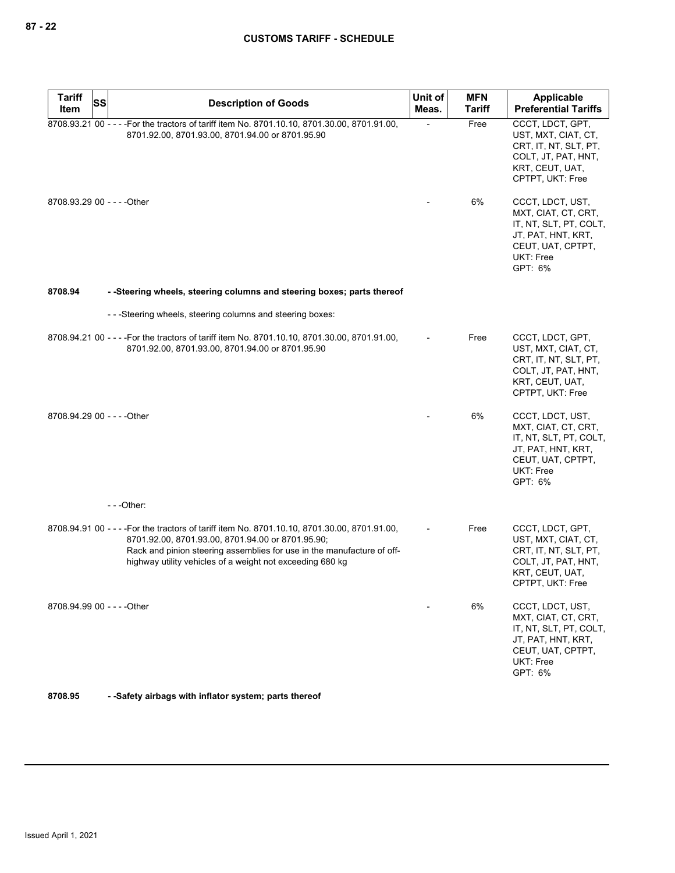| <b>Tariff</b><br><b>SS</b>  |                                                                                                                                                                                                                                                                                         | Unit of | <b>MFN</b>    | Applicable                                                                                                                           |
|-----------------------------|-----------------------------------------------------------------------------------------------------------------------------------------------------------------------------------------------------------------------------------------------------------------------------------------|---------|---------------|--------------------------------------------------------------------------------------------------------------------------------------|
| Item                        | <b>Description of Goods</b>                                                                                                                                                                                                                                                             | Meas.   | <b>Tariff</b> | <b>Preferential Tariffs</b>                                                                                                          |
|                             | 8708.93.21 00 - - - - For the tractors of tariff item No. 8701.10.10, 8701.30.00, 8701.91.00,<br>8701.92.00, 8701.93.00, 8701.94.00 or 8701.95.90                                                                                                                                       |         | Free          | CCCT, LDCT, GPT,<br>UST, MXT, CIAT, CT,<br>CRT, IT, NT, SLT, PT,<br>COLT, JT, PAT, HNT,<br>KRT, CEUT, UAT,<br>CPTPT, UKT: Free       |
| 8708.93.29 00 - - - - Other |                                                                                                                                                                                                                                                                                         |         | 6%            | CCCT, LDCT, UST,<br>MXT, CIAT, CT, CRT,<br>IT, NT, SLT, PT, COLT,<br>JT, PAT, HNT, KRT,<br>CEUT, UAT, CPTPT,<br>UKT: Free<br>GPT: 6% |
| 8708.94                     | - -Steering wheels, steering columns and steering boxes; parts thereof                                                                                                                                                                                                                  |         |               |                                                                                                                                      |
|                             | ---Steering wheels, steering columns and steering boxes:                                                                                                                                                                                                                                |         |               |                                                                                                                                      |
|                             | 8708.94.21 00 - - - For the tractors of tariff item No. 8701.10.10, 8701.30.00, 8701.91.00,<br>8701.92.00, 8701.93.00, 8701.94.00 or 8701.95.90                                                                                                                                         |         | Free          | CCCT, LDCT, GPT,<br>UST, MXT, CIAT, CT,<br>CRT, IT, NT, SLT, PT,<br>COLT, JT, PAT, HNT,<br>KRT, CEUT, UAT,<br>CPTPT, UKT: Free       |
| 8708.94.29 00 - - - - Other |                                                                                                                                                                                                                                                                                         |         | 6%            | CCCT, LDCT, UST,<br>MXT, CIAT, CT, CRT,<br>IT, NT, SLT, PT, COLT,<br>JT, PAT, HNT, KRT,<br>CEUT, UAT, CPTPT,<br>UKT: Free<br>GPT: 6% |
|                             | $- -$ Other:                                                                                                                                                                                                                                                                            |         |               |                                                                                                                                      |
|                             | 8708.94.91 00 - - - For the tractors of tariff item No. 8701.10.10, 8701.30.00, 8701.91.00,<br>8701.92.00, 8701.93.00, 8701.94.00 or 8701.95.90;<br>Rack and pinion steering assemblies for use in the manufacture of off-<br>highway utility vehicles of a weight not exceeding 680 kg |         | Free          | CCCT, LDCT, GPT,<br>UST, MXT, CIAT, CT,<br>CRT, IT, NT, SLT, PT,<br>COLT, JT, PAT, HNT,<br>KRT, CEUT, UAT,<br>CPTPT, UKT: Free       |
| 8708.94.99 00 - - - - Other |                                                                                                                                                                                                                                                                                         |         | 6%            | CCCT, LDCT, UST,<br>MXT, CIAT, CT, CRT,<br>IT, NT, SLT, PT, COLT,<br>JT, PAT, HNT, KRT,<br>CEUT, UAT, CPTPT,<br>UKT: Free<br>GPT: 6% |

**8708.95 - -Safety airbags with inflator system; parts thereof**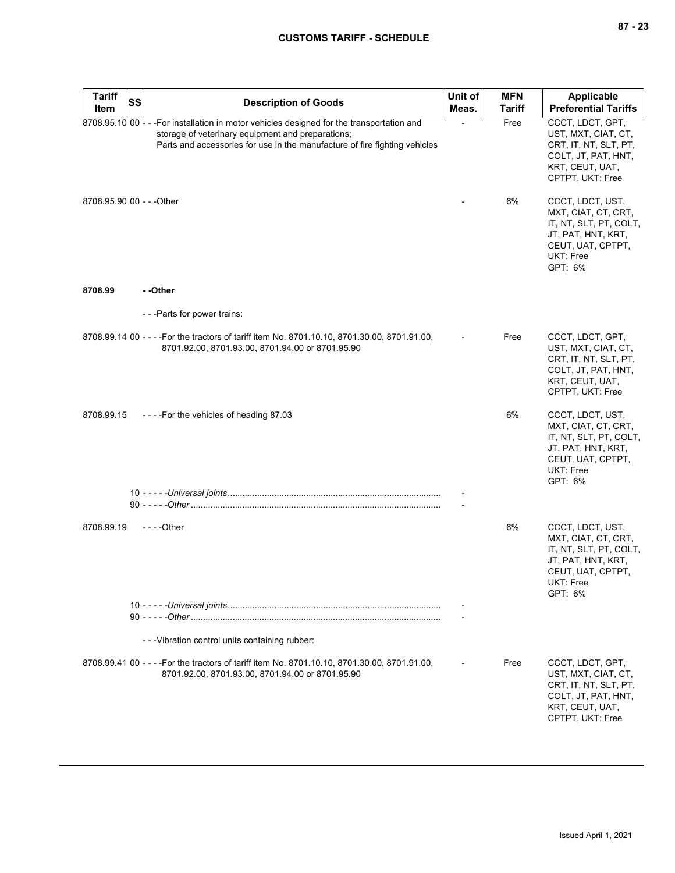| <b>Tariff</b>             | SS | <b>Description of Goods</b>                                                                                                                                                                                                   | Unit of | <b>MFN</b>    | <b>Applicable</b>                                                                                                                    |
|---------------------------|----|-------------------------------------------------------------------------------------------------------------------------------------------------------------------------------------------------------------------------------|---------|---------------|--------------------------------------------------------------------------------------------------------------------------------------|
| Item                      |    |                                                                                                                                                                                                                               | Meas.   | <b>Tariff</b> | <b>Preferential Tariffs</b>                                                                                                          |
|                           |    | 8708.95.10 00 - - - For installation in motor vehicles designed for the transportation and<br>storage of veterinary equipment and preparations;<br>Parts and accessories for use in the manufacture of fire fighting vehicles |         | Free          | CCCT, LDCT, GPT,<br>UST, MXT, CIAT, CT,<br>CRT, IT, NT, SLT, PT,<br>COLT, JT, PAT, HNT,<br>KRT, CEUT, UAT,<br>CPTPT, UKT: Free       |
| 8708.95.90 00 - - - Other |    |                                                                                                                                                                                                                               |         | 6%            | CCCT, LDCT, UST,<br>MXT, CIAT, CT, CRT,<br>IT, NT, SLT, PT, COLT,<br>JT, PAT, HNT, KRT,<br>CEUT, UAT, CPTPT,<br>UKT: Free<br>GPT: 6% |
| 8708.99                   |    | - -Other                                                                                                                                                                                                                      |         |               |                                                                                                                                      |
|                           |    | ---Parts for power trains:                                                                                                                                                                                                    |         |               |                                                                                                                                      |
|                           |    | 8708.99.14 00 - - - For the tractors of tariff item No. 8701.10.10, 8701.30.00, 8701.91.00,<br>8701.92.00, 8701.93.00, 8701.94.00 or 8701.95.90                                                                               |         | Free          | CCCT, LDCT, GPT,<br>UST, MXT, CIAT, CT,<br>CRT, IT, NT, SLT, PT,<br>COLT, JT, PAT, HNT,<br>KRT, CEUT, UAT,<br>CPTPT, UKT: Free       |
| 8708.99.15                |    | ----For the vehicles of heading 87.03                                                                                                                                                                                         |         | 6%            | CCCT, LDCT, UST,<br>MXT, CIAT, CT, CRT,<br>IT, NT, SLT, PT, COLT,<br>JT, PAT, HNT, KRT,<br>CEUT, UAT, CPTPT,<br>UKT: Free<br>GPT: 6% |
|                           |    |                                                                                                                                                                                                                               |         |               |                                                                                                                                      |
| 8708.99.19                |    | - - - - Other                                                                                                                                                                                                                 |         | 6%            | CCCT, LDCT, UST,<br>MXT, CIAT, CT, CRT,<br>IT, NT, SLT, PT, COLT,<br>JT, PAT, HNT, KRT,<br>CEUT, UAT, CPTPT,<br>UKT: Free<br>GPT: 6% |
|                           |    |                                                                                                                                                                                                                               |         |               |                                                                                                                                      |
|                           |    | --- Vibration control units containing rubber:                                                                                                                                                                                |         |               |                                                                                                                                      |
|                           |    | 8708.99.41 00 - - - For the tractors of tariff item No. 8701.10.10, 8701.30.00, 8701.91.00,<br>8701.92.00, 8701.93.00, 8701.94.00 or 8701.95.90                                                                               |         | Free          | CCCT, LDCT, GPT,<br>UST, MXT, CIAT, CT,<br>CRT, IT, NT, SLT, PT,<br>COLT, JT, PAT, HNT,<br>KRT, CEUT, UAT,<br>CPTPT, UKT: Free       |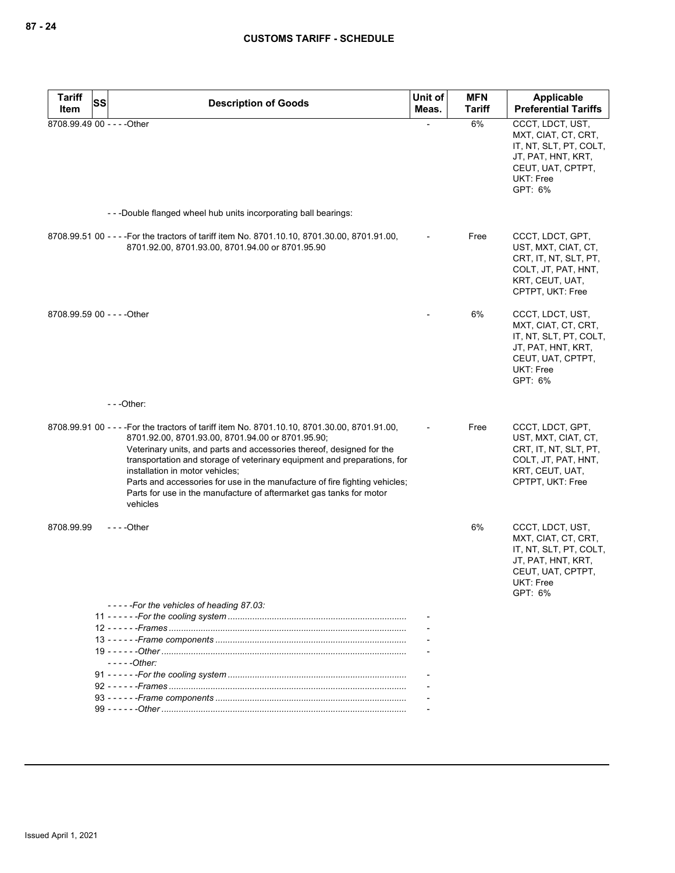| <b>Tariff</b> | <b>SS</b>                                                                                        | <b>Description of Goods</b>                                                                                                                                                                                                                                                                                                                                                                              | Unit of | <b>MFN</b>    | Applicable                                                                                                                                  |
|---------------|--------------------------------------------------------------------------------------------------|----------------------------------------------------------------------------------------------------------------------------------------------------------------------------------------------------------------------------------------------------------------------------------------------------------------------------------------------------------------------------------------------------------|---------|---------------|---------------------------------------------------------------------------------------------------------------------------------------------|
| Item          |                                                                                                  |                                                                                                                                                                                                                                                                                                                                                                                                          | Meas.   | <b>Tariff</b> | <b>Preferential Tariffs</b>                                                                                                                 |
|               | 8708.99.49 00 - - - - Other                                                                      |                                                                                                                                                                                                                                                                                                                                                                                                          |         | 6%            | CCCT, LDCT, UST,<br>MXT, CIAT, CT, CRT,<br>IT, NT, SLT, PT, COLT,<br>JT, PAT, HNT, KRT,<br>CEUT, UAT, CPTPT,<br>UKT: Free<br>GPT: 6%        |
|               | ---Double flanged wheel hub units incorporating ball bearings:                                   |                                                                                                                                                                                                                                                                                                                                                                                                          |         |               |                                                                                                                                             |
|               | 8701.92.00, 8701.93.00, 8701.94.00 or 8701.95.90                                                 | 8708.99.51 00 - - - - For the tractors of tariff item No. 8701.10.10, 8701.30.00, 8701.91.00,                                                                                                                                                                                                                                                                                                            |         | Free          | CCCT, LDCT, GPT,<br>UST, MXT, CIAT, CT,<br>CRT, IT, NT, SLT, PT,<br>COLT, JT, PAT, HNT,<br>KRT, CEUT, UAT,<br>CPTPT, UKT: Free              |
|               | 8708.99.59 00 - - - - Other                                                                      |                                                                                                                                                                                                                                                                                                                                                                                                          |         | 6%            | CCCT, LDCT, UST,<br>MXT, CIAT, CT, CRT,<br>IT, NT, SLT, PT, COLT,<br>JT, PAT, HNT, KRT,<br>CEUT, UAT, CPTPT,<br><b>UKT: Free</b><br>GPT: 6% |
|               | $--$ Other:                                                                                      |                                                                                                                                                                                                                                                                                                                                                                                                          |         |               |                                                                                                                                             |
|               | 8701.92.00, 8701.93.00, 8701.94.00 or 8701.95.90;<br>installation in motor vehicles;<br>vehicles | 8708.99.91 00 - - - - For the tractors of tariff item No. 8701.10.10, 8701.30.00, 8701.91.00,<br>Veterinary units, and parts and accessories thereof, designed for the<br>transportation and storage of veterinary equipment and preparations, for<br>Parts and accessories for use in the manufacture of fire fighting vehicles;<br>Parts for use in the manufacture of aftermarket gas tanks for motor |         | Free          | CCCT, LDCT, GPT,<br>UST, MXT, CIAT, CT,<br>CRT, IT, NT, SLT, PT,<br>COLT, JT, PAT, HNT,<br>KRT, CEUT, UAT,<br>CPTPT, UKT: Free              |
| 8708.99.99    | $--$ Other                                                                                       |                                                                                                                                                                                                                                                                                                                                                                                                          |         | 6%            | CCCT, LDCT, UST,<br>MXT, CIAT, CT, CRT,<br>IT, NT, SLT, PT, COLT,<br>JT, PAT, HNT, KRT,<br>CEUT, UAT, CPTPT,<br>UKT: Free<br>GPT: 6%        |
|               | -----For the vehicles of heading 87.03:                                                          |                                                                                                                                                                                                                                                                                                                                                                                                          |         |               |                                                                                                                                             |
|               |                                                                                                  |                                                                                                                                                                                                                                                                                                                                                                                                          |         |               |                                                                                                                                             |
|               |                                                                                                  |                                                                                                                                                                                                                                                                                                                                                                                                          |         |               |                                                                                                                                             |
|               |                                                                                                  |                                                                                                                                                                                                                                                                                                                                                                                                          |         |               |                                                                                                                                             |
|               | $---Other:$                                                                                      |                                                                                                                                                                                                                                                                                                                                                                                                          |         |               |                                                                                                                                             |
|               |                                                                                                  |                                                                                                                                                                                                                                                                                                                                                                                                          |         |               |                                                                                                                                             |
|               |                                                                                                  |                                                                                                                                                                                                                                                                                                                                                                                                          |         |               |                                                                                                                                             |
|               |                                                                                                  |                                                                                                                                                                                                                                                                                                                                                                                                          |         |               |                                                                                                                                             |
|               |                                                                                                  |                                                                                                                                                                                                                                                                                                                                                                                                          |         |               |                                                                                                                                             |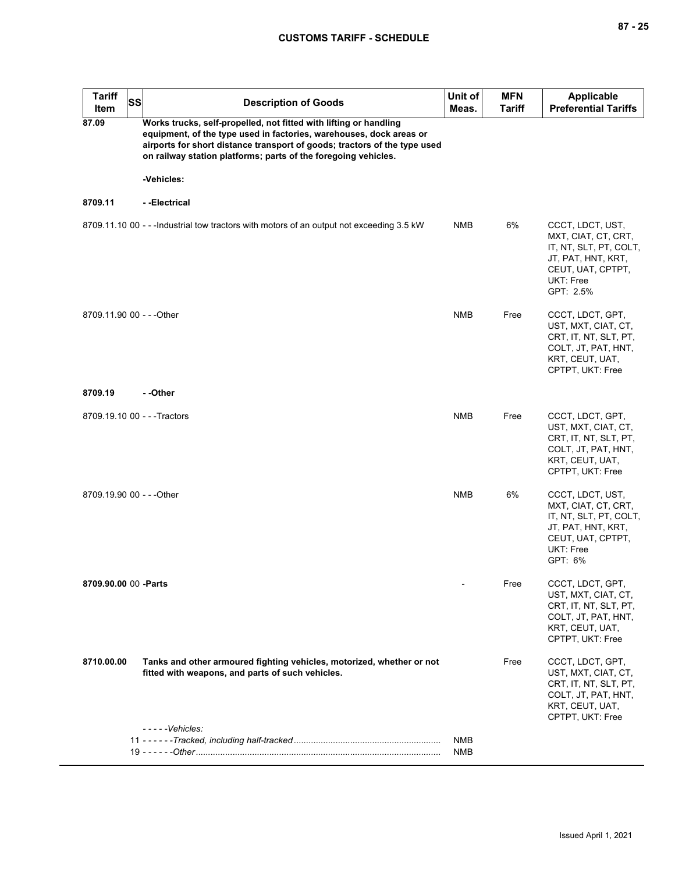| <b>Tariff</b><br>Item     | <b>SS</b> | <b>Description of Goods</b>                                                                                                                                                                                                                                                             | Unit of<br>Meas.         | <b>MFN</b><br>Tariff | <b>Applicable</b><br><b>Preferential Tariffs</b>                                                                                       |
|---------------------------|-----------|-----------------------------------------------------------------------------------------------------------------------------------------------------------------------------------------------------------------------------------------------------------------------------------------|--------------------------|----------------------|----------------------------------------------------------------------------------------------------------------------------------------|
| 87.09                     |           | Works trucks, self-propelled, not fitted with lifting or handling<br>equipment, of the type used in factories, warehouses, dock areas or<br>airports for short distance transport of goods; tractors of the type used<br>on railway station platforms; parts of the foregoing vehicles. |                          |                      |                                                                                                                                        |
|                           |           | -Vehicles:                                                                                                                                                                                                                                                                              |                          |                      |                                                                                                                                        |
| 8709.11                   |           | - -Electrical                                                                                                                                                                                                                                                                           |                          |                      |                                                                                                                                        |
|                           |           | 8709.11.10 00 - - - Industrial tow tractors with motors of an output not exceeding 3.5 kW                                                                                                                                                                                               | NMB                      | 6%                   | CCCT, LDCT, UST,<br>MXT, CIAT, CT, CRT,<br>IT, NT, SLT, PT, COLT,<br>JT, PAT, HNT, KRT,<br>CEUT, UAT, CPTPT,<br>UKT: Free<br>GPT: 2.5% |
| 8709.11.90 00 - - - Other |           |                                                                                                                                                                                                                                                                                         | <b>NMB</b>               | Free                 | CCCT, LDCT, GPT,<br>UST, MXT, CIAT, CT,<br>CRT, IT, NT, SLT, PT,<br>COLT, JT, PAT, HNT,<br>KRT, CEUT, UAT,<br>CPTPT, UKT: Free         |
| 8709.19                   |           | - -Other                                                                                                                                                                                                                                                                                |                          |                      |                                                                                                                                        |
|                           |           | 8709.19.10 00 - - - Tractors                                                                                                                                                                                                                                                            | <b>NMB</b>               | Free                 | CCCT, LDCT, GPT,<br>UST, MXT, CIAT, CT,<br>CRT, IT, NT, SLT, PT,<br>COLT, JT, PAT, HNT,<br>KRT, CEUT, UAT,<br>CPTPT, UKT: Free         |
| 8709.19.90 00 - - - Other |           |                                                                                                                                                                                                                                                                                         | <b>NMB</b>               | 6%                   | CCCT, LDCT, UST,<br>MXT, CIAT, CT, CRT,<br>IT, NT, SLT, PT, COLT,<br>JT, PAT, HNT, KRT,<br>CEUT, UAT, CPTPT,<br>UKT: Free<br>GPT: 6%   |
| 8709.90.00 00 -Parts      |           |                                                                                                                                                                                                                                                                                         |                          | Free                 | CCCT, LDCT, GPT,<br>UST, MXT, CIAT, CT,<br>CRT, IT, NT, SLT, PT,<br>COLT, JT, PAT, HNT,<br>KRT, CEUT, UAT,<br>CPTPT, UKT: Free         |
| 8710.00.00                |           | Tanks and other armoured fighting vehicles, motorized, whether or not<br>fitted with weapons, and parts of such vehicles.                                                                                                                                                               |                          | Free                 | CCCT, LDCT, GPT,<br>UST, MXT, CIAT, CT,<br>CRT, IT, NT, SLT, PT,<br>COLT, JT, PAT, HNT,<br>KRT, CEUT, UAT,<br>CPTPT, UKT: Free         |
|                           |           | $---V$ chicles:                                                                                                                                                                                                                                                                         | <b>NMB</b><br><b>NMB</b> |                      |                                                                                                                                        |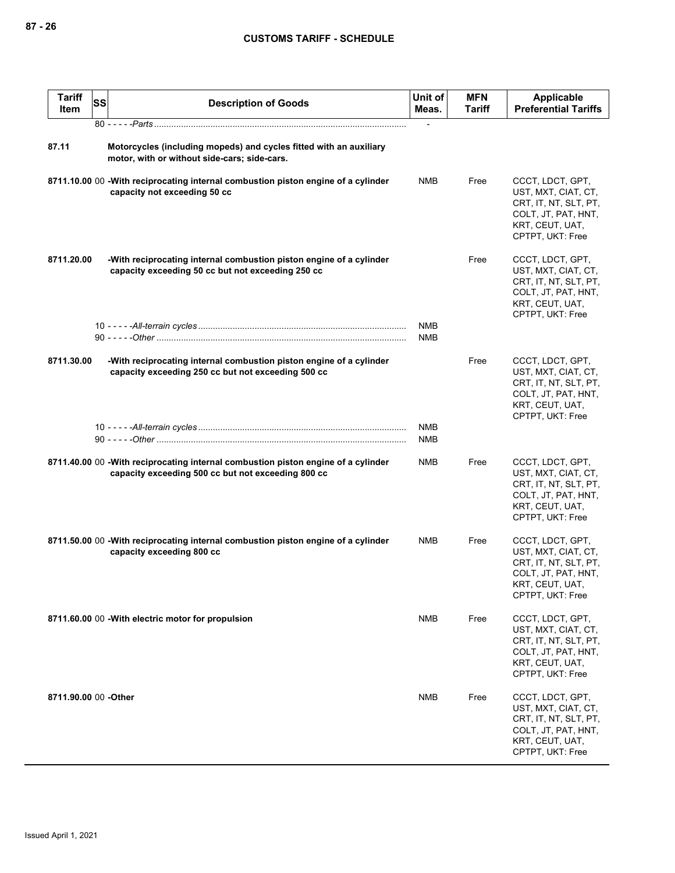| <b>Tariff</b><br>Item | <b>SS</b> | <b>Description of Goods</b>                                                                                                             | Unit of<br>Meas. | <b>MFN</b><br>Tariff | Applicable<br><b>Preferential Tariffs</b>                                                                                      |
|-----------------------|-----------|-----------------------------------------------------------------------------------------------------------------------------------------|------------------|----------------------|--------------------------------------------------------------------------------------------------------------------------------|
|                       |           |                                                                                                                                         |                  |                      |                                                                                                                                |
| 87.11                 |           | Motorcycles (including mopeds) and cycles fitted with an auxiliary<br>motor, with or without side-cars; side-cars.                      |                  |                      |                                                                                                                                |
|                       |           | 8711.10.00 00 - With reciprocating internal combustion piston engine of a cylinder<br>capacity not exceeding 50 cc                      | NMB              | Free                 | CCCT, LDCT, GPT,<br>UST, MXT, CIAT, CT,<br>CRT, IT, NT, SLT, PT,<br>COLT, JT, PAT, HNT,<br>KRT, CEUT, UAT,<br>CPTPT, UKT: Free |
| 8711.20.00            |           | -With reciprocating internal combustion piston engine of a cylinder<br>capacity exceeding 50 cc but not exceeding 250 cc                |                  | Free                 | CCCT, LDCT, GPT,<br>UST, MXT, CIAT, CT,<br>CRT, IT, NT, SLT, PT,<br>COLT, JT, PAT, HNT,<br>KRT, CEUT, UAT,<br>CPTPT, UKT: Free |
|                       |           |                                                                                                                                         | <b>NMB</b>       |                      |                                                                                                                                |
|                       |           |                                                                                                                                         | <b>NMB</b>       |                      |                                                                                                                                |
| 8711.30.00            |           | -With reciprocating internal combustion piston engine of a cylinder<br>capacity exceeding 250 cc but not exceeding 500 cc               |                  | Free                 | CCCT, LDCT, GPT,<br>UST, MXT, CIAT, CT,<br>CRT, IT, NT, SLT, PT,<br>COLT, JT, PAT, HNT,<br>KRT, CEUT, UAT,<br>CPTPT, UKT: Free |
|                       |           |                                                                                                                                         | <b>NMB</b>       |                      |                                                                                                                                |
|                       |           |                                                                                                                                         | NMB              |                      |                                                                                                                                |
|                       |           | 8711.40.00 00 -With reciprocating internal combustion piston engine of a cylinder<br>capacity exceeding 500 cc but not exceeding 800 cc | NMB              | Free                 | CCCT, LDCT, GPT,<br>UST, MXT, CIAT, CT,<br>CRT, IT, NT, SLT, PT,<br>COLT, JT, PAT, HNT,<br>KRT, CEUT, UAT,<br>CPTPT, UKT: Free |
|                       |           | 8711.50.00 00 - With reciprocating internal combustion piston engine of a cylinder<br>capacity exceeding 800 cc                         | <b>NMB</b>       | Free                 | CCCT, LDCT, GPT,<br>UST, MXT, CIAT, CT,<br>CRT, IT, NT, SLT, PT,<br>COLT, JT, PAT, HNT,<br>KRT, CEUT, UAT,<br>CPTPT, UKT: Free |
|                       |           | 8711.60.00 00 - With electric motor for propulsion                                                                                      | <b>NMB</b>       | Free                 | CCCT, LDCT, GPT,<br>UST, MXT, CIAT, CT,<br>CRT, IT, NT, SLT, PT,<br>COLT, JT, PAT, HNT,<br>KRT, CEUT, UAT,<br>CPTPT, UKT: Free |
| 8711.90.00 00 - Other |           |                                                                                                                                         | NMB              | Free                 | CCCT, LDCT, GPT,<br>UST, MXT, CIAT, CT,<br>CRT, IT, NT, SLT, PT,<br>COLT, JT, PAT, HNT,<br>KRT, CEUT, UAT,<br>CPTPT, UKT: Free |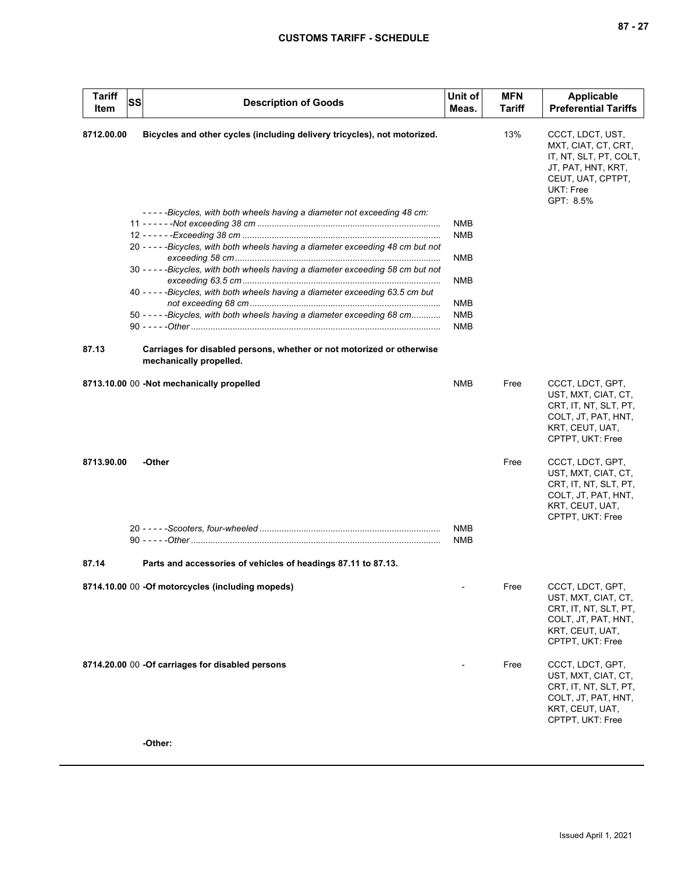| <b>Tariff</b><br>Item | <b>SS</b> | <b>Description of Goods</b>                                                                      | Unit of<br>Meas. | <b>MFN</b><br>Tariff | <b>Applicable</b><br><b>Preferential Tariffs</b>                                                                                       |
|-----------------------|-----------|--------------------------------------------------------------------------------------------------|------------------|----------------------|----------------------------------------------------------------------------------------------------------------------------------------|
| 8712.00.00            |           | Bicycles and other cycles (including delivery tricycles), not motorized.                         |                  | 13%                  | CCCT, LDCT, UST,<br>MXT, CIAT, CT, CRT,<br>IT, NT, SLT, PT, COLT,<br>JT, PAT, HNT, KRT,<br>CEUT, UAT, CPTPT,<br>UKT: Free<br>GPT: 8.5% |
|                       |           | -----Bicycles, with both wheels having a diameter not exceeding 48 cm:                           |                  |                      |                                                                                                                                        |
|                       |           |                                                                                                  | NMB<br>NMB       |                      |                                                                                                                                        |
|                       |           | 20 - - - - - Bicycles, with both wheels having a diameter exceeding 48 cm but not                | <b>NMB</b>       |                      |                                                                                                                                        |
|                       |           | 30 - - - - - Bicycles, with both wheels having a diameter exceeding 58 cm but not                | NMB              |                      |                                                                                                                                        |
|                       |           | 40 - - - - - Bicycles, with both wheels having a diameter exceeding 63.5 cm but                  |                  |                      |                                                                                                                                        |
|                       |           |                                                                                                  | NMB              |                      |                                                                                                                                        |
|                       |           | 50 - - - - - Bicycles, with both wheels having a diameter exceeding 68 cm                        | <b>NMB</b>       |                      |                                                                                                                                        |
|                       |           |                                                                                                  | <b>NMB</b>       |                      |                                                                                                                                        |
| 87.13                 |           | Carriages for disabled persons, whether or not motorized or otherwise<br>mechanically propelled. |                  |                      |                                                                                                                                        |
|                       |           | 8713.10.00 00 -Not mechanically propelled                                                        | <b>NMB</b>       | Free                 | CCCT, LDCT, GPT,<br>UST, MXT, CIAT, CT,<br>CRT, IT, NT, SLT, PT,<br>COLT, JT, PAT, HNT,<br>KRT, CEUT, UAT,<br>CPTPT, UKT: Free         |
| 8713.90.00            |           | -Other                                                                                           |                  | Free                 | CCCT, LDCT, GPT,<br>UST, MXT, CIAT, CT,<br>CRT, IT, NT, SLT, PT,<br>COLT, JT, PAT, HNT,<br>KRT, CEUT, UAT,<br>CPTPT, UKT: Free         |
|                       |           |                                                                                                  | <b>NMB</b>       |                      |                                                                                                                                        |
|                       |           |                                                                                                  | NMB              |                      |                                                                                                                                        |
| 87.14                 |           | Parts and accessories of vehicles of headings 87.11 to 87.13.                                    |                  |                      |                                                                                                                                        |
|                       |           | 8714.10.00 00 -Of motorcycles (including mopeds)                                                 |                  | Free                 | CCCT, LDCT, GPT,<br>UST, MXT, CIAT, CT,<br>CRT, IT, NT, SLT, PT,<br>COLT, JT, PAT, HNT,<br>KRT, CEUT, UAT,<br>CPTPT, UKT: Free         |
|                       |           | 8714.20.00 00 -Of carriages for disabled persons                                                 |                  | Free                 | CCCT, LDCT, GPT,<br>UST, MXT, CIAT, CT,<br>CRT, IT, NT, SLT, PT,<br>COLT, JT, PAT, HNT,<br>KRT, CEUT, UAT,<br>CPTPT, UKT: Free         |
|                       |           | -Other:                                                                                          |                  |                      |                                                                                                                                        |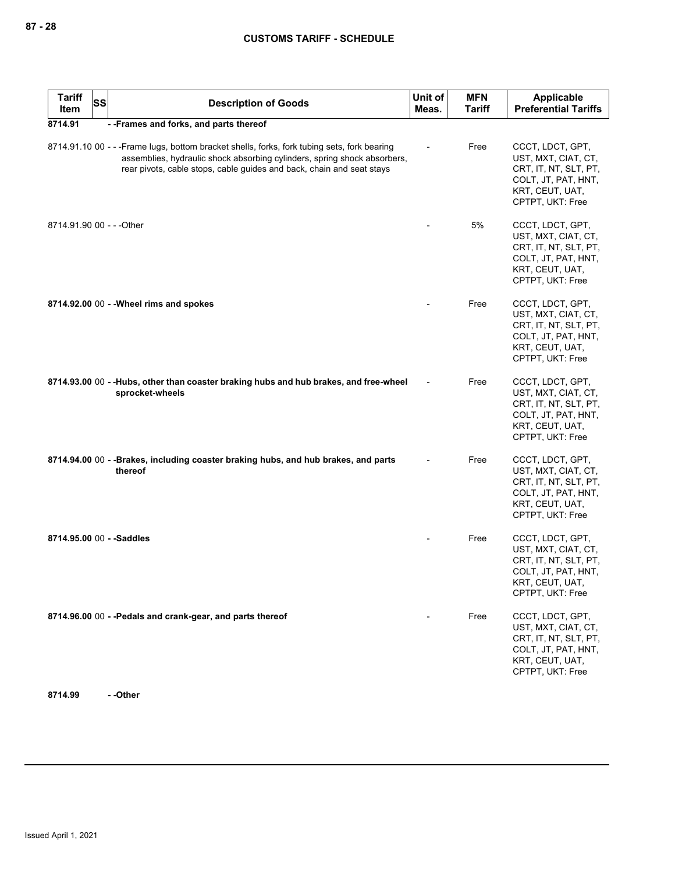| <b>Tariff</b><br>Item | <b>SS</b> | <b>Description of Goods</b>                                                                                                                                                                                                                       | Unit of<br>Meas. | <b>MFN</b><br><b>Tariff</b> | <b>Applicable</b><br><b>Preferential Tariffs</b>                                                                               |
|-----------------------|-----------|---------------------------------------------------------------------------------------------------------------------------------------------------------------------------------------------------------------------------------------------------|------------------|-----------------------------|--------------------------------------------------------------------------------------------------------------------------------|
| 8714.91               |           | - - Frames and forks, and parts thereof                                                                                                                                                                                                           |                  |                             |                                                                                                                                |
|                       |           | 8714.91.10 00 - - - Frame lugs, bottom bracket shells, forks, fork tubing sets, fork bearing<br>assemblies, hydraulic shock absorbing cylinders, spring shock absorbers,<br>rear pivots, cable stops, cable guides and back, chain and seat stays |                  | Free                        | CCCT, LDCT, GPT,<br>UST, MXT, CIAT, CT,<br>CRT, IT, NT, SLT, PT,<br>COLT, JT, PAT, HNT,<br>KRT, CEUT, UAT,<br>CPTPT, UKT: Free |
|                       |           | 8714.91.90 00 - - - Other                                                                                                                                                                                                                         |                  | 5%                          | CCCT, LDCT, GPT,<br>UST, MXT, CIAT, CT,<br>CRT, IT, NT, SLT, PT,<br>COLT, JT, PAT, HNT,<br>KRT, CEUT, UAT,<br>CPTPT, UKT: Free |
|                       |           | 8714.92.00 00 - - Wheel rims and spokes                                                                                                                                                                                                           |                  | Free                        | CCCT, LDCT, GPT,<br>UST, MXT, CIAT, CT,<br>CRT, IT, NT, SLT, PT,<br>COLT, JT, PAT, HNT,<br>KRT, CEUT, UAT,<br>CPTPT, UKT: Free |
|                       |           | 8714.93.00 00 --Hubs, other than coaster braking hubs and hub brakes, and free-wheel<br>sprocket-wheels                                                                                                                                           |                  | Free                        | CCCT, LDCT, GPT,<br>UST, MXT, CIAT, CT,<br>CRT, IT, NT, SLT, PT,<br>COLT, JT, PAT, HNT,<br>KRT, CEUT, UAT,<br>CPTPT, UKT: Free |
|                       |           | 8714.94.00 00 - - Brakes, including coaster braking hubs, and hub brakes, and parts<br>thereof                                                                                                                                                    |                  | Free                        | CCCT, LDCT, GPT,<br>UST, MXT, CIAT, CT,<br>CRT, IT, NT, SLT, PT,<br>COLT, JT, PAT, HNT,<br>KRT, CEUT, UAT,<br>CPTPT, UKT: Free |
|                       |           | 8714.95.00 00 - - Saddles                                                                                                                                                                                                                         |                  | Free                        | CCCT, LDCT, GPT,<br>UST, MXT, CIAT, CT,<br>CRT, IT, NT, SLT, PT,<br>COLT, JT, PAT, HNT,<br>KRT, CEUT, UAT,<br>CPTPT, UKT: Free |
|                       |           | 8714.96.00 00 - - Pedals and crank-gear, and parts thereof                                                                                                                                                                                        |                  | Free                        | CCCT, LDCT, GPT,<br>UST, MXT, CIAT, CT,<br>CRT, IT, NT, SLT, PT,<br>COLT, JT, PAT, HNT,<br>KRT, CEUT, UAT,<br>CPTPT, UKT: Free |

**8714.99 - -Other**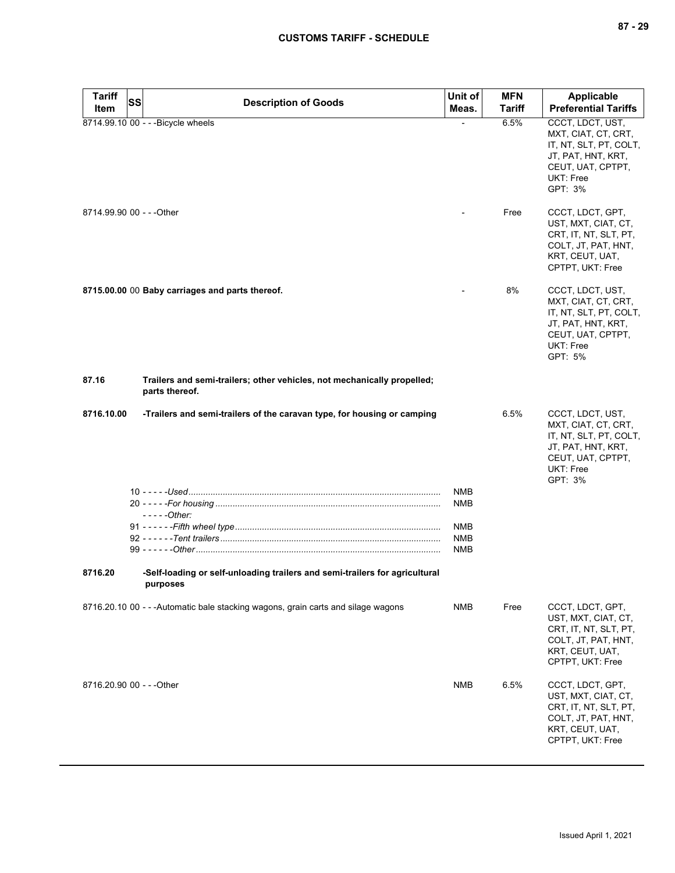| <b>Tariff</b> | <b>SS</b>                                                                                 | Unit of           | <b>MFN</b>    | <b>Applicable</b>                                                                                                                           |
|---------------|-------------------------------------------------------------------------------------------|-------------------|---------------|---------------------------------------------------------------------------------------------------------------------------------------------|
| Item          | <b>Description of Goods</b>                                                               | Meas.             | <b>Tariff</b> | <b>Preferential Tariffs</b>                                                                                                                 |
|               | 8714.99.10 00 - - - Bicycle wheels                                                        |                   | 6.5%          | CCCT, LDCT, UST,<br>MXT, CIAT, CT, CRT,<br>IT, NT, SLT, PT, COLT,<br>JT, PAT, HNT, KRT,<br>CEUT, UAT, CPTPT,<br>UKT: Free<br>GPT: 3%        |
|               | 8714.99.90 00 - - - Other                                                                 |                   | Free          | CCCT, LDCT, GPT,<br>UST, MXT, CIAT, CT,<br>CRT, IT, NT, SLT, PT,<br>COLT, JT, PAT, HNT,<br>KRT, CEUT, UAT,<br>CPTPT, UKT: Free              |
|               | 8715.00.00 00 Baby carriages and parts thereof.                                           |                   | 8%            | CCCT, LDCT, UST,<br>MXT, CIAT, CT, CRT,<br>IT, NT, SLT, PT, COLT,<br>JT, PAT, HNT, KRT,<br>CEUT, UAT, CPTPT,<br>UKT: Free<br>GPT: 5%        |
| 87.16         | Trailers and semi-trailers; other vehicles, not mechanically propelled;<br>parts thereof. |                   |               |                                                                                                                                             |
| 8716.10.00    | -Trailers and semi-trailers of the caravan type, for housing or camping                   |                   | 6.5%          | CCCT, LDCT, UST,<br>MXT, CIAT, CT, CRT,<br>IT, NT, SLT, PT, COLT,<br>JT, PAT, HNT, KRT,<br>CEUT, UAT, CPTPT,<br><b>UKT: Free</b><br>GPT: 3% |
|               |                                                                                           | <b>NMB</b>        |               |                                                                                                                                             |
|               |                                                                                           | NMB               |               |                                                                                                                                             |
|               | $---Other:$                                                                               |                   |               |                                                                                                                                             |
|               |                                                                                           | NMB<br><b>NMB</b> |               |                                                                                                                                             |
|               |                                                                                           | <b>NMB</b>        |               |                                                                                                                                             |
|               |                                                                                           |                   |               |                                                                                                                                             |
| 8716.20       | -Self-loading or self-unloading trailers and semi-trailers for agricultural<br>purposes   |                   |               |                                                                                                                                             |
|               | 8716.20.10 00 - - - Automatic bale stacking wagons, grain carts and silage wagons         | NMB               | Free          | CCCT, LDCT, GPT,<br>UST, MXT, CIAT, CT,<br>CRT, IT, NT, SLT, PT,<br>COLT, JT, PAT, HNT,<br>KRT, CEUT, UAT,<br>CPTPT, UKT: Free              |
|               | 8716.20.90 00 - - - Other                                                                 | <b>NMB</b>        | 6.5%          | CCCT, LDCT, GPT,<br>UST, MXT, CIAT, CT,<br>CRT, IT, NT, SLT, PT,<br>COLT, JT, PAT, HNT,<br>KRT, CEUT, UAT,<br>CPTPT, UKT: Free              |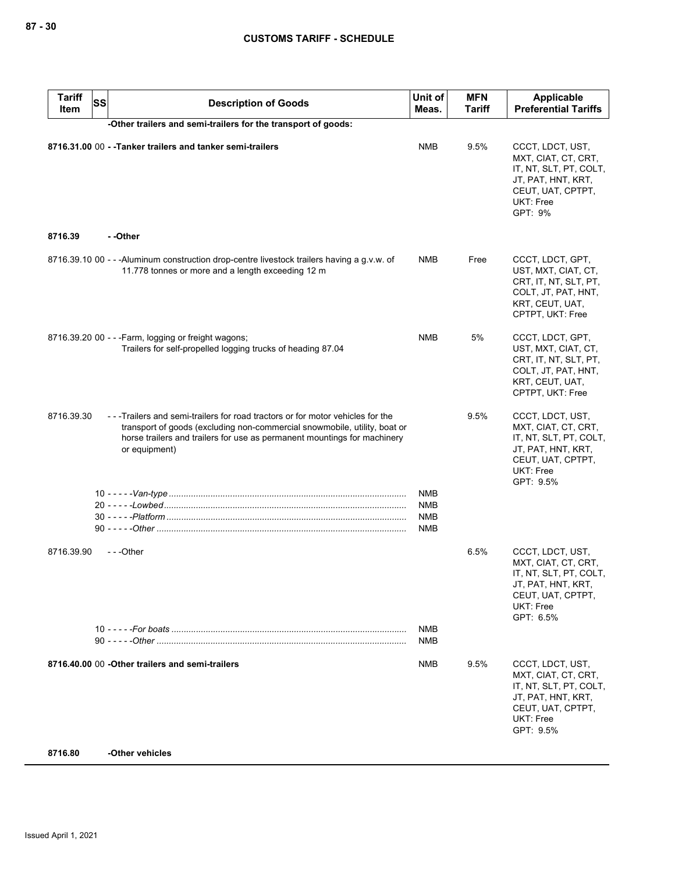| <b>Tariff</b><br>Item | <b>SS</b><br><b>Description of Goods</b>                                                                                                                                                                                                               | Unit of<br>Meas. | <b>MFN</b><br><b>Tariff</b> | <b>Applicable</b><br><b>Preferential Tariffs</b>                                                                                       |
|-----------------------|--------------------------------------------------------------------------------------------------------------------------------------------------------------------------------------------------------------------------------------------------------|------------------|-----------------------------|----------------------------------------------------------------------------------------------------------------------------------------|
|                       | -Other trailers and semi-trailers for the transport of goods:                                                                                                                                                                                          |                  |                             |                                                                                                                                        |
|                       | 8716.31.00 00 - - Tanker trailers and tanker semi-trailers                                                                                                                                                                                             | <b>NMB</b>       | 9.5%                        | CCCT, LDCT, UST,<br>MXT, CIAT, CT, CRT,<br>IT, NT, SLT, PT, COLT,<br>JT, PAT, HNT, KRT,<br>CEUT, UAT, CPTPT,<br>UKT: Free<br>GPT: 9%   |
| 8716.39               | - -Other                                                                                                                                                                                                                                               |                  |                             |                                                                                                                                        |
|                       | 8716.39.10 00 - - - Aluminum construction drop-centre livestock trailers having a g.v.w. of<br>11.778 tonnes or more and a length exceeding 12 m                                                                                                       | <b>NMB</b>       | Free                        | CCCT, LDCT, GPT,<br>UST, MXT, CIAT, CT,<br>CRT, IT, NT, SLT, PT,<br>COLT, JT, PAT, HNT,<br>KRT, CEUT, UAT,<br>CPTPT, UKT: Free         |
|                       | 8716.39.20 00 - - - Farm, logging or freight wagons;<br>Trailers for self-propelled logging trucks of heading 87.04                                                                                                                                    | <b>NMB</b>       | 5%                          | CCCT, LDCT, GPT,<br>UST, MXT, CIAT, CT,<br>CRT, IT, NT, SLT, PT,<br>COLT, JT, PAT, HNT,<br>KRT, CEUT, UAT,<br>CPTPT, UKT: Free         |
| 8716.39.30            | --Trailers and semi-trailers for road tractors or for motor vehicles for the<br>transport of goods (excluding non-commercial snowmobile, utility, boat or<br>horse trailers and trailers for use as permanent mountings for machinery<br>or equipment) |                  | 9.5%                        | CCCT, LDCT, UST,<br>MXT, CIAT, CT, CRT,<br>IT, NT, SLT, PT, COLT,<br>JT, PAT, HNT, KRT,<br>CEUT, UAT, CPTPT,<br>UKT: Free<br>GPT: 9.5% |
|                       |                                                                                                                                                                                                                                                        | <b>NMB</b>       |                             |                                                                                                                                        |
|                       |                                                                                                                                                                                                                                                        | <b>NMB</b>       |                             |                                                                                                                                        |
|                       |                                                                                                                                                                                                                                                        | <b>NMB</b>       |                             |                                                                                                                                        |
|                       |                                                                                                                                                                                                                                                        | <b>NMB</b>       |                             |                                                                                                                                        |
| 8716.39.90            | ---Other                                                                                                                                                                                                                                               |                  | 6.5%                        | CCCT, LDCT, UST,<br>MXT, CIAT, CT, CRT,<br>IT, NT, SLT, PT, COLT,<br>JT, PAT, HNT, KRT,<br>CEUT, UAT, CPTPT,<br>UKT: Free<br>GPT: 6.5% |
|                       |                                                                                                                                                                                                                                                        | <b>NMB</b>       |                             |                                                                                                                                        |
|                       |                                                                                                                                                                                                                                                        | <b>NMB</b>       |                             |                                                                                                                                        |
|                       | 8716.40.00 00 - Other trailers and semi-trailers                                                                                                                                                                                                       | NMB              | 9.5%                        | CCCT, LDCT, UST,<br>MXT, CIAT, CT, CRT,<br>IT, NT, SLT, PT, COLT,<br>JT, PAT, HNT, KRT,<br>CEUT, UAT, CPTPT,<br>UKT: Free<br>GPT: 9.5% |
| 8716.80               | -Other vehicles                                                                                                                                                                                                                                        |                  |                             |                                                                                                                                        |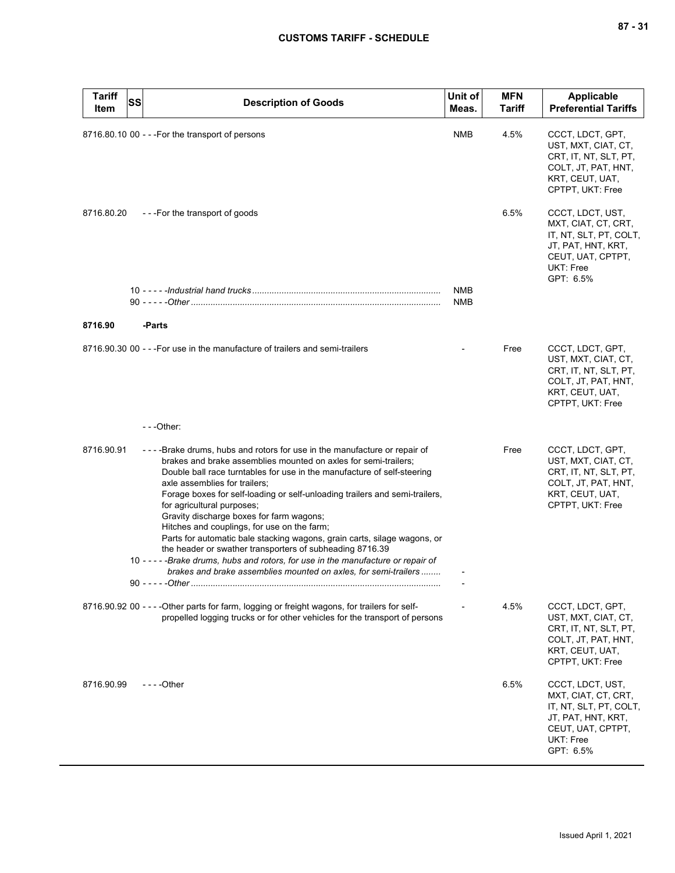| <b>Tariff</b><br>Item | <b>SS</b> | <b>Description of Goods</b>                                                                                                                                                                                                                                                                                                                                                                                                                                                                                                                                                                                                                                                                                                                                      | Unit of<br>Meas.         | <b>MFN</b><br>Tariff | <b>Applicable</b><br><b>Preferential Tariffs</b>                                                                                       |
|-----------------------|-----------|------------------------------------------------------------------------------------------------------------------------------------------------------------------------------------------------------------------------------------------------------------------------------------------------------------------------------------------------------------------------------------------------------------------------------------------------------------------------------------------------------------------------------------------------------------------------------------------------------------------------------------------------------------------------------------------------------------------------------------------------------------------|--------------------------|----------------------|----------------------------------------------------------------------------------------------------------------------------------------|
|                       |           | 8716.80.10 00 - - - For the transport of persons                                                                                                                                                                                                                                                                                                                                                                                                                                                                                                                                                                                                                                                                                                                 | NMB                      | 4.5%                 | CCCT, LDCT, GPT,<br>UST, MXT, CIAT, CT,<br>CRT, IT, NT, SLT, PT,<br>COLT, JT, PAT, HNT,<br>KRT, CEUT, UAT,<br>CPTPT, UKT: Free         |
| 8716.80.20            |           | ---For the transport of goods                                                                                                                                                                                                                                                                                                                                                                                                                                                                                                                                                                                                                                                                                                                                    |                          | 6.5%                 | CCCT, LDCT, UST,<br>MXT, CIAT, CT, CRT,<br>IT, NT, SLT, PT, COLT,<br>JT, PAT, HNT, KRT,<br>CEUT, UAT, CPTPT,<br>UKT: Free<br>GPT: 6.5% |
|                       |           |                                                                                                                                                                                                                                                                                                                                                                                                                                                                                                                                                                                                                                                                                                                                                                  | <b>NMB</b><br><b>NMB</b> |                      |                                                                                                                                        |
| 8716.90               |           | -Parts                                                                                                                                                                                                                                                                                                                                                                                                                                                                                                                                                                                                                                                                                                                                                           |                          |                      |                                                                                                                                        |
|                       |           | 8716.90.30 00 - - - For use in the manufacture of trailers and semi-trailers                                                                                                                                                                                                                                                                                                                                                                                                                                                                                                                                                                                                                                                                                     |                          | Free                 | CCCT, LDCT, GPT,<br>UST, MXT, CIAT, CT,<br>CRT, IT, NT, SLT, PT,<br>COLT, JT, PAT, HNT,<br>KRT, CEUT, UAT,<br>CPTPT, UKT: Free         |
|                       |           | $-$ - -Other:                                                                                                                                                                                                                                                                                                                                                                                                                                                                                                                                                                                                                                                                                                                                                    |                          |                      |                                                                                                                                        |
| 8716.90.91            |           | ----Brake drums, hubs and rotors for use in the manufacture or repair of<br>brakes and brake assemblies mounted on axles for semi-trailers;<br>Double ball race turntables for use in the manufacture of self-steering<br>axle assemblies for trailers;<br>Forage boxes for self-loading or self-unloading trailers and semi-trailers,<br>for agricultural purposes;<br>Gravity discharge boxes for farm wagons;<br>Hitches and couplings, for use on the farm;<br>Parts for automatic bale stacking wagons, grain carts, silage wagons, or<br>the header or swather transporters of subheading 8716.39<br>10 - - - - - Brake drums, hubs and rotors, for use in the manufacture or repair of<br>brakes and brake assemblies mounted on axles, for semi-trailers |                          | Free                 | CCCT, LDCT, GPT,<br>UST, MXT, CIAT, CT,<br>CRT, IT, NT, SLT, PT,<br>COLT, JT, PAT, HNT,<br>KRT, CEUT, UAT,<br>CPTPT, UKT: Free         |
|                       |           | 8716.90.92 00 - - - - Other parts for farm, logging or freight wagons, for trailers for self-<br>propelled logging trucks or for other vehicles for the transport of persons                                                                                                                                                                                                                                                                                                                                                                                                                                                                                                                                                                                     |                          | 4.5%                 | CCCT, LDCT, GPT,<br>UST, MXT, CIAT, CT,<br>CRT, IT, NT, SLT, PT,<br>COLT, JT, PAT, HNT,<br>KRT, CEUT, UAT,<br>CPTPT, UKT: Free         |
| 8716.90.99            |           | $--$ Other                                                                                                                                                                                                                                                                                                                                                                                                                                                                                                                                                                                                                                                                                                                                                       |                          | 6.5%                 | CCCT, LDCT, UST,<br>MXT, CIAT, CT, CRT,<br>IT, NT, SLT, PT, COLT,<br>JT, PAT, HNT, KRT,<br>CEUT, UAT, CPTPT,<br>UKT: Free<br>GPT: 6.5% |